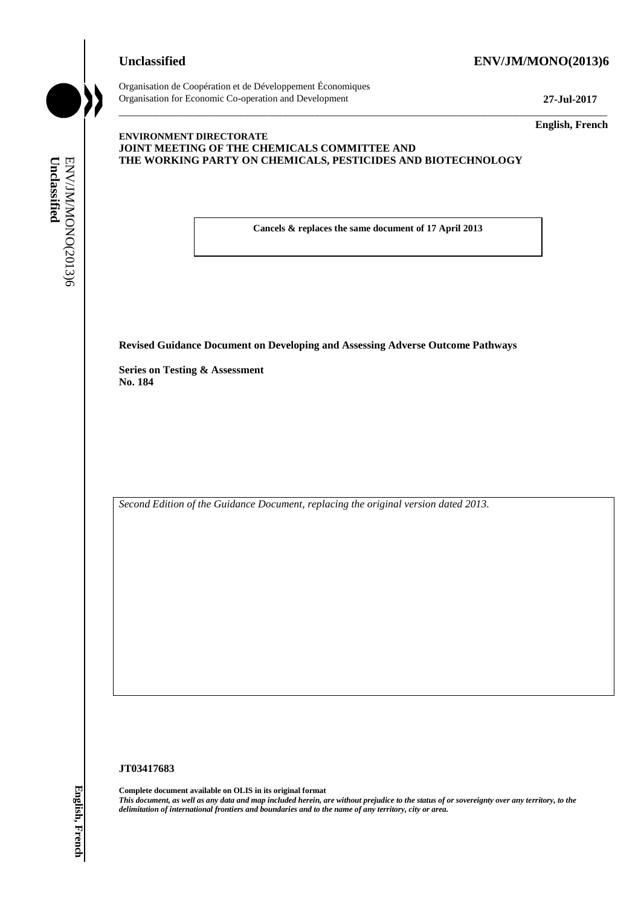## **Unclassified ENV/JM/MONO(2013)6**



Organisation de Coopération et de Développement Économiques Organisation for Economic Co-operation and Development **27-Jul-2017**

\_\_\_\_\_\_\_\_\_\_\_\_\_ **English, French**

## **ENVIRONMENT DIRECTORATE JOINT MEETING OF THE CHEMICALS COMMITTEE AND THE WORKING PARTY ON CHEMICALS, PESTICIDES AND BIOTECHNOLOGY**

**Cancels & replaces the same document of 17 April 2013**

\_\_\_\_\_\_\_\_\_\_\_\_\_\_\_\_\_\_\_\_\_\_\_\_\_\_\_\_\_\_\_\_\_\_\_\_\_\_\_\_\_\_\_\_\_\_\_\_\_\_\_\_\_\_\_\_\_\_\_\_\_\_\_\_\_\_\_\_\_\_\_\_\_\_\_\_\_\_\_\_\_\_\_\_\_\_\_\_\_\_\_

**Revised Guidance Document on Developing and Assessing Adverse Outcome Pathways**

**Series on Testing & Assessment No. 184**

*Second Edition of the Guidance Document, replacing the original version dated 2013.*

#### **JT03417683**

**Complete document available on OLIS in its original format** *This document, as well as any data and map included herein, are without prejudice to the status of or sovereignty over any territory, to the*  **delimitation of international from of international from the name of any territorial from the name of any territorial from the name of any territory of the name of any territory of the name of any territorial from the nam**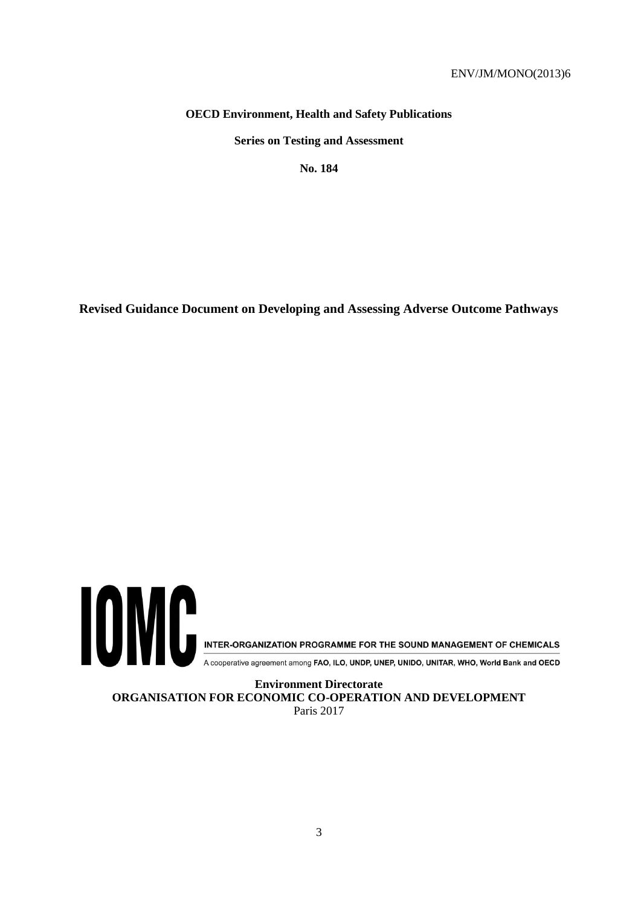## **OECD Environment, Health and Safety Publications**

**Series on Testing and Assessment**

**No. 184**

**Revised Guidance Document on Developing and Assessing Adverse Outcome Pathways**



**ORGANISATION FOR ECONOMIC CO-OPERATION AND DEVELOPMENT** Paris 2017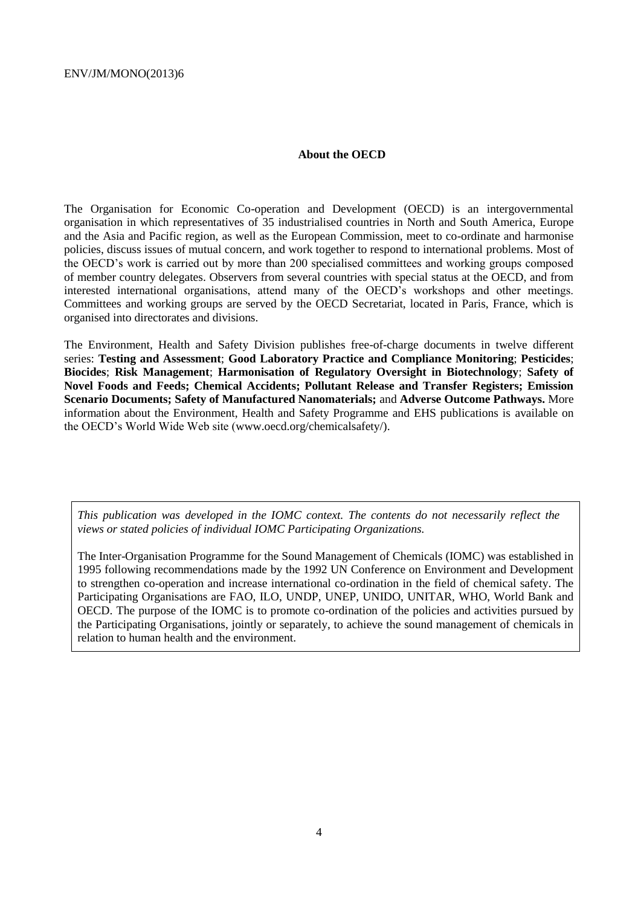## **About the OECD**

The Organisation for Economic Co-operation and Development (OECD) is an intergovernmental organisation in which representatives of 35 industrialised countries in North and South America, Europe and the Asia and Pacific region, as well as the European Commission, meet to co-ordinate and harmonise policies, discuss issues of mutual concern, and work together to respond to international problems. Most of the OECD's work is carried out by more than 200 specialised committees and working groups composed of member country delegates. Observers from several countries with special status at the OECD, and from interested international organisations, attend many of the OECD's workshops and other meetings. Committees and working groups are served by the OECD Secretariat, located in Paris, France, which is organised into directorates and divisions.

The Environment, Health and Safety Division publishes free-of-charge documents in twelve different series: **Testing and Assessment**; **Good Laboratory Practice and Compliance Monitoring**; **Pesticides**; **Biocides**; **Risk Management**; **Harmonisation of Regulatory Oversight in Biotechnology**; **Safety of Novel Foods and Feeds; Chemical Accidents; Pollutant Release and Transfer Registers; Emission Scenario Documents; Safety of Manufactured Nanomaterials;** and **Adverse Outcome Pathways.** More information about the Environment, Health and Safety Programme and EHS publications is available on the OECD's World Wide Web site (www.oecd.org/chemicalsafety/).

*This publication was developed in the IOMC context. The contents do not necessarily reflect the views or stated policies of individual IOMC Participating Organizations.*

The Inter-Organisation Programme for the Sound Management of Chemicals (IOMC) was established in 1995 following recommendations made by the 1992 UN Conference on Environment and Development to strengthen co-operation and increase international co-ordination in the field of chemical safety. The Participating Organisations are FAO, ILO, UNDP, UNEP, UNIDO, UNITAR, WHO, World Bank and OECD. The purpose of the IOMC is to promote co-ordination of the policies and activities pursued by the Participating Organisations, jointly or separately, to achieve the sound management of chemicals in relation to human health and the environment.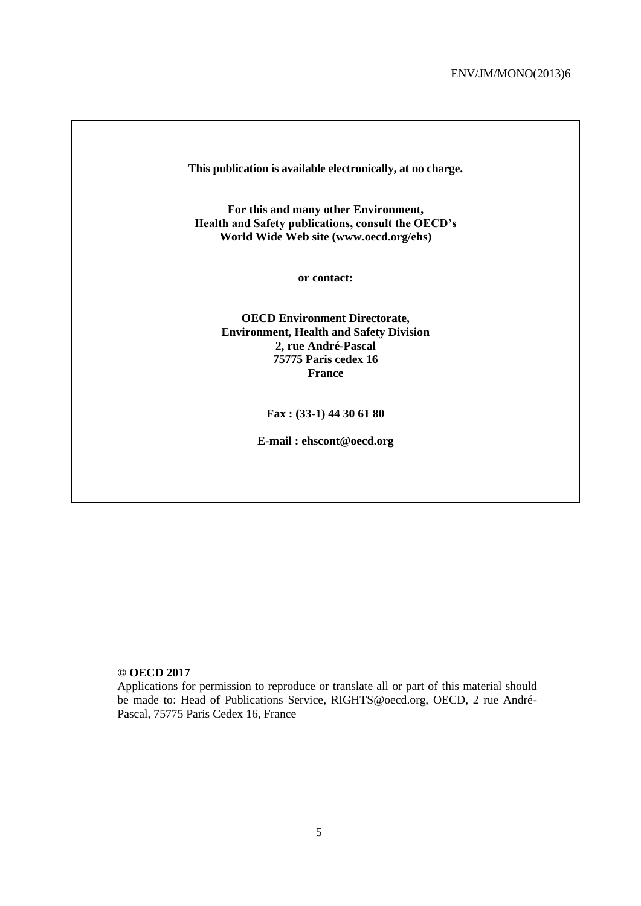**This publication is available electronically, at no charge.**

**For this and many other Environment, Health and Safety publications, consult the OECD's World Wide Web site (www.oecd.org/ehs)** 

**or contact:**

**OECD Environment Directorate, Environment, Health and Safety Division 2, rue André-Pascal 75775 Paris cedex 16 France**

**Fax : (33-1) 44 30 61 80** 

**E-mail : ehscont@oecd.org**

#### **© OECD 2017**

Applications for permission to reproduce or translate all or part of this material should be made to: Head of Publications Service, RIGHTS@oecd.org, OECD, 2 rue André-Pascal, 75775 Paris Cedex 16, France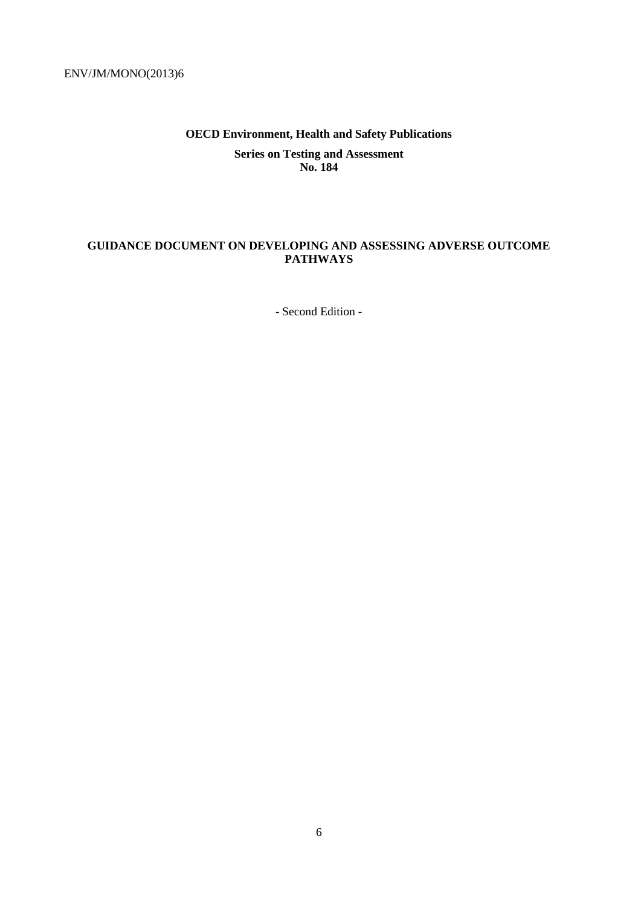# **OECD Environment, Health and Safety Publications Series on Testing and Assessment No. 184**

## <span id="page-5-0"></span>**GUIDANCE DOCUMENT ON DEVELOPING AND ASSESSING ADVERSE OUTCOME PATHWAYS**

- Second Edition -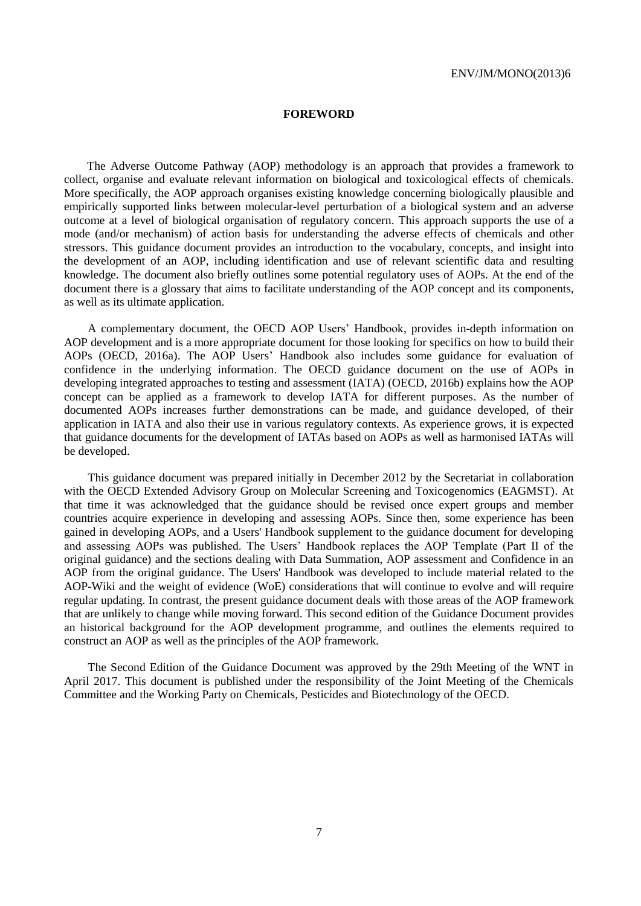#### **FOREWORD**

<span id="page-6-0"></span>The Adverse Outcome Pathway (AOP) methodology is an approach that provides a framework to collect, organise and evaluate relevant information on biological and toxicological effects of chemicals. More specifically, the AOP approach organises existing knowledge concerning biologically plausible and empirically supported links between molecular-level perturbation of a biological system and an adverse outcome at a level of biological organisation of regulatory concern. This approach supports the use of a mode (and/or mechanism) of action basis for understanding the adverse effects of chemicals and other stressors. This guidance document provides an introduction to the vocabulary, concepts, and insight into the development of an AOP, including identification and use of relevant scientific data and resulting knowledge. The document also briefly outlines some potential regulatory uses of AOPs. At the end of the document there is a glossary that aims to facilitate understanding of the AOP concept and its components, as well as its ultimate application.

A complementary document, the OECD AOP Users' Handbook, provides in-depth information on AOP development and is a more appropriate document for those looking for specifics on how to build their AOPs (OECD, 2016a). The AOP Users' Handbook also includes some guidance for evaluation of confidence in the underlying information. The OECD guidance document on the use of AOPs in developing integrated approaches to testing and assessment (IATA) (OECD, 2016b) explains how the AOP concept can be applied as a framework to develop IATA for different purposes. As the number of documented AOPs increases further demonstrations can be made, and guidance developed, of their application in IATA and also their use in various regulatory contexts. As experience grows, it is expected that guidance documents for the development of IATAs based on AOPs as well as harmonised IATAs will be developed.

This guidance document was prepared initially in December 2012 by the Secretariat in collaboration with the OECD Extended Advisory Group on Molecular Screening and Toxicogenomics (EAGMST). At that time it was acknowledged that the guidance should be revised once expert groups and member countries acquire experience in developing and assessing AOPs. Since then, some experience has been gained in developing AOPs, and a Users' Handbook supplement to the guidance document for developing and assessing AOPs was published. The Users' Handbook replaces the AOP Template (Part II of the original guidance) and the sections dealing with Data Summation, AOP assessment and Confidence in an AOP from the original guidance. The Users' Handbook was developed to include material related to the AOP-Wiki and the weight of evidence (WoE) considerations that will continue to evolve and will require regular updating. In contrast, the present guidance document deals with those areas of the AOP framework that are unlikely to change while moving forward. This second edition of the Guidance Document provides an historical background for the AOP development programme, and outlines the elements required to construct an AOP as well as the principles of the AOP framework.

The Second Edition of the Guidance Document was approved by the 29th Meeting of the WNT in April 2017. This document is published under the responsibility of the Joint Meeting of the Chemicals Committee and the Working Party on Chemicals, Pesticides and Biotechnology of the OECD.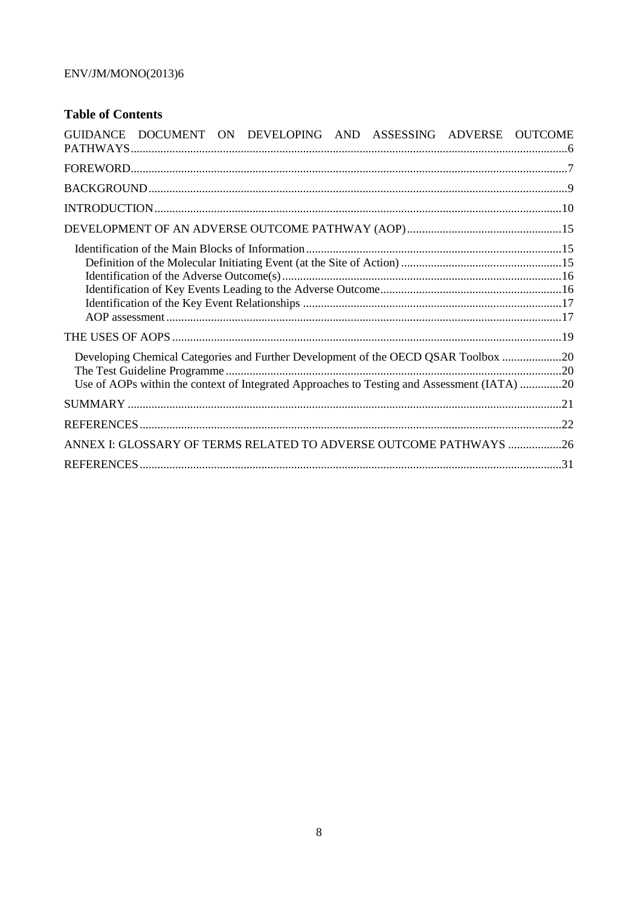# **Table of Contents**

| GUIDANCE DOCUMENT ON DEVELOPING AND ASSESSING ADVERSE OUTCOME                                                                                                                     |  |
|-----------------------------------------------------------------------------------------------------------------------------------------------------------------------------------|--|
|                                                                                                                                                                                   |  |
|                                                                                                                                                                                   |  |
|                                                                                                                                                                                   |  |
|                                                                                                                                                                                   |  |
|                                                                                                                                                                                   |  |
|                                                                                                                                                                                   |  |
| Developing Chemical Categories and Further Development of the OECD QSAR Toolbox 20<br>Use of AOPs within the context of Integrated Approaches to Testing and Assessment (IATA) 20 |  |
|                                                                                                                                                                                   |  |
|                                                                                                                                                                                   |  |
| ANNEX I: GLOSSARY OF TERMS RELATED TO ADVERSE OUTCOME PATHWAYS  26                                                                                                                |  |
|                                                                                                                                                                                   |  |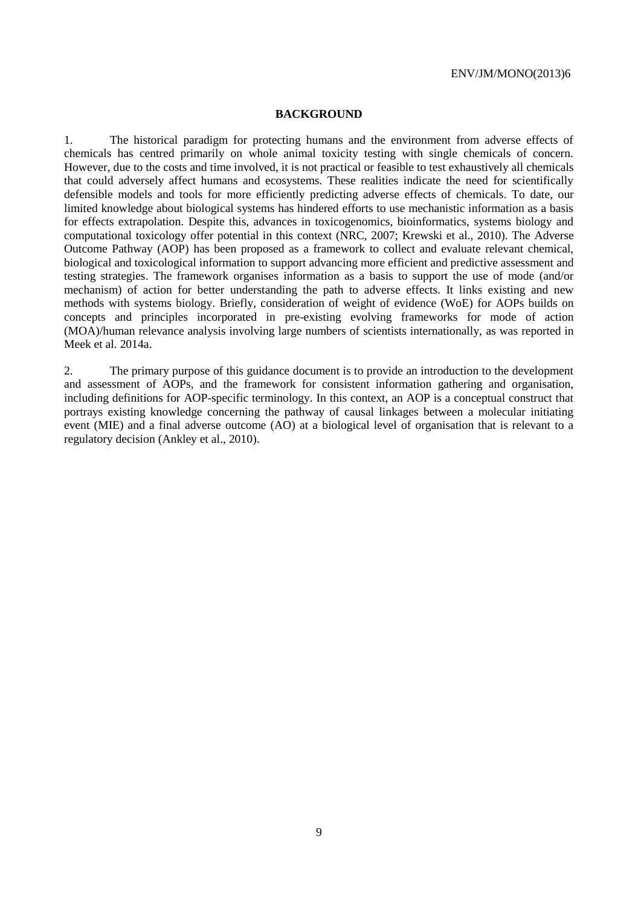#### <span id="page-8-0"></span>**BACKGROUND**

1. The historical paradigm for protecting humans and the environment from adverse effects of chemicals has centred primarily on whole animal toxicity testing with single chemicals of concern. However, due to the costs and time involved, it is not practical or feasible to test exhaustively all chemicals that could adversely affect humans and ecosystems. These realities indicate the need for scientifically defensible models and tools for more efficiently predicting adverse effects of chemicals. To date, our limited knowledge about biological systems has hindered efforts to use mechanistic information as a basis for effects extrapolation. Despite this, advances in toxicogenomics, bioinformatics, systems biology and computational toxicology offer potential in this context (NRC, 2007; Krewski et al., 2010). The Adverse Outcome Pathway (AOP) has been proposed as a framework to collect and evaluate relevant chemical, biological and toxicological information to support advancing more efficient and predictive assessment and testing strategies. The framework organises information as a basis to support the use of mode (and/or mechanism) of action for better understanding the path to adverse effects. It links existing and new methods with systems biology. Briefly, consideration of weight of evidence (WoE) for AOPs builds on concepts and principles incorporated in pre-existing evolving frameworks for mode of action (MOA)/human relevance analysis involving large numbers of scientists internationally, as was reported in Meek et al. 2014a.

2. The primary purpose of this guidance document is to provide an introduction to the development and assessment of AOPs, and the framework for consistent information gathering and organisation, including definitions for AOP-specific terminology. In this context, an AOP is a conceptual construct that portrays existing knowledge concerning the pathway of causal linkages between a molecular initiating event (MIE) and a final adverse outcome (AO) at a biological level of organisation that is relevant to a regulatory decision (Ankley et al., 2010).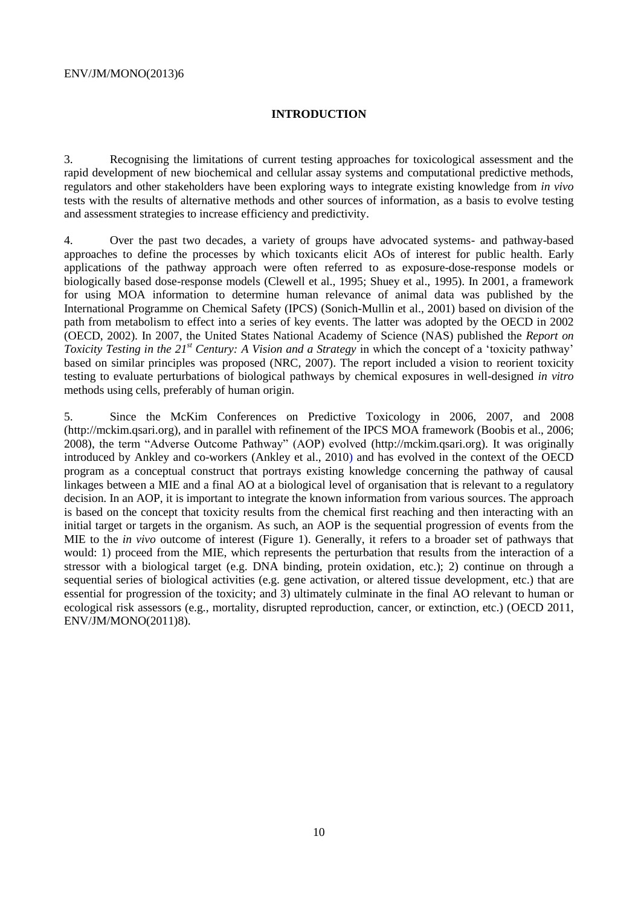## <span id="page-9-0"></span>**INTRODUCTION**

3. Recognising the limitations of current testing approaches for toxicological assessment and the rapid development of new biochemical and cellular assay systems and computational predictive methods, regulators and other stakeholders have been exploring ways to integrate existing knowledge from *in vivo* tests with the results of alternative methods and other sources of information, as a basis to evolve testing and assessment strategies to increase efficiency and predictivity.

4. Over the past two decades, a variety of groups have advocated systems- and pathway-based approaches to define the processes by which toxicants elicit AOs of interest for public health. Early applications of the pathway approach were often referred to as exposure-dose-response models or biologically based dose-response models (Clewell et al., 1995; Shuey et al., 1995). In 2001, a framework for using MOA information to determine human relevance of animal data was published by the International Programme on Chemical Safety (IPCS) (Sonich-Mullin et al., 2001) based on division of the path from metabolism to effect into a series of key events. The latter was adopted by the OECD in 2002 (OECD, 2002). In 2007, the United States National Academy of Science (NAS) published the *Report on Toxicity Testing in the 21st Century: A Vision and a Strategy* in which the concept of a 'toxicity pathway' based on similar principles was proposed (NRC, 2007). The report included a vision to reorient toxicity testing to evaluate perturbations of biological pathways by chemical exposures in well-designed *in vitro* methods using cells, preferably of human origin.

5. Since the McKim Conferences on Predictive Toxicology in 2006, 2007, and 2008 (http://mckim.qsari.org), and in parallel with refinement of the IPCS MOA framework (Boobis et al., 2006; 2008), the term "Adverse Outcome Pathway" (AOP) evolved (http://mckim.qsari.org). It was originally introduced by Ankley and co-workers (Ankley et al., 2010) and has evolved in the context of the OECD program as a conceptual construct that portrays existing knowledge concerning the pathway of causal linkages between a MIE and a final AO at a biological level of organisation that is relevant to a regulatory decision. In an AOP, it is important to integrate the known information from various sources. The approach is based on the concept that toxicity results from the chemical first reaching and then interacting with an initial target or targets in the organism. As such, an AOP is the sequential progression of events from the MIE to the *in vivo* outcome of interest (Figure 1). Generally, it refers to a broader set of pathways that would: 1) proceed from the MIE, which represents the perturbation that results from the interaction of a stressor with a biological target (e.g. DNA binding, protein oxidation, etc.); 2) continue on through a sequential series of biological activities (e.g. gene activation, or altered tissue development, etc.) that are essential for progression of the toxicity; and 3) ultimately culminate in the final AO relevant to human or ecological risk assessors (e.g., mortality, disrupted reproduction, cancer, or extinction, etc.) (OECD 2011, ENV/JM/MONO(2011)8).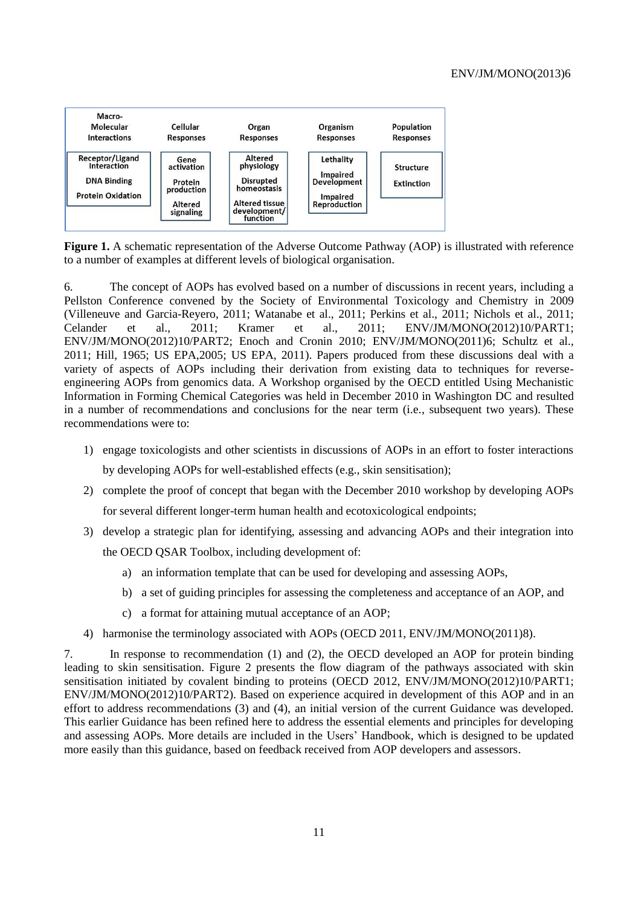

**Figure 1.** A schematic representation of the Adverse Outcome Pathway (AOP) is illustrated with reference to a number of examples at different levels of biological organisation.

6. The concept of AOPs has evolved based on a number of discussions in recent years, including a Pellston Conference convened by the Society of Environmental Toxicology and Chemistry in 2009 (Villeneuve and Garcia-Reyero, 2011; Watanabe et al., 2011; Perkins et al., 2011; Nichols et al., 2011; Celander et al., 2011; Kramer et al., 2011; ENV/JM/MONO(2012)10/PART1; ENV/JM/MONO(2012)10/PART2; Enoch and Cronin 2010; ENV/JM/MONO(2011)6; Schultz et al., 2011; Hill, 1965; US EPA,2005; US EPA, 2011). Papers produced from these discussions deal with a variety of aspects of AOPs including their derivation from existing data to techniques for reverseengineering AOPs from genomics data. A Workshop organised by the OECD entitled Using Mechanistic Information in Forming Chemical Categories was held in December 2010 in Washington DC and resulted in a number of recommendations and conclusions for the near term (i.e., subsequent two years). These recommendations were to:

1) engage toxicologists and other scientists in discussions of AOPs in an effort to foster interactions

by developing AOPs for well-established effects (e.g., skin sensitisation);

- 2) complete the proof of concept that began with the December 2010 workshop by developing AOPs for several different longer-term human health and ecotoxicological endpoints;
- 3) develop a strategic plan for identifying, assessing and advancing AOPs and their integration into the OECD QSAR Toolbox, including development of:
	- a) an information template that can be used for developing and assessing AOPs,
	- b) a set of guiding principles for assessing the completeness and acceptance of an AOP, and
	- c) a format for attaining mutual acceptance of an AOP;
- 4) harmonise the terminology associated with AOPs (OECD 2011, ENV/JM/MONO(2011)8).

7. In response to recommendation (1) and (2), the OECD developed an AOP for protein binding leading to skin sensitisation. Figure 2 presents the flow diagram of the pathways associated with skin sensitisation initiated by covalent binding to proteins (OECD 2012, ENV/JM/MONO(2012)10/PART1; ENV/JM/MONO(2012)10/PART2). Based on experience acquired in development of this AOP and in an effort to address recommendations (3) and (4), an initial version of the current Guidance was developed. This earlier Guidance has been refined here to address the essential elements and principles for developing and assessing AOPs. More details are included in the Users' Handbook, which is designed to be updated more easily than this guidance, based on feedback received from AOP developers and assessors.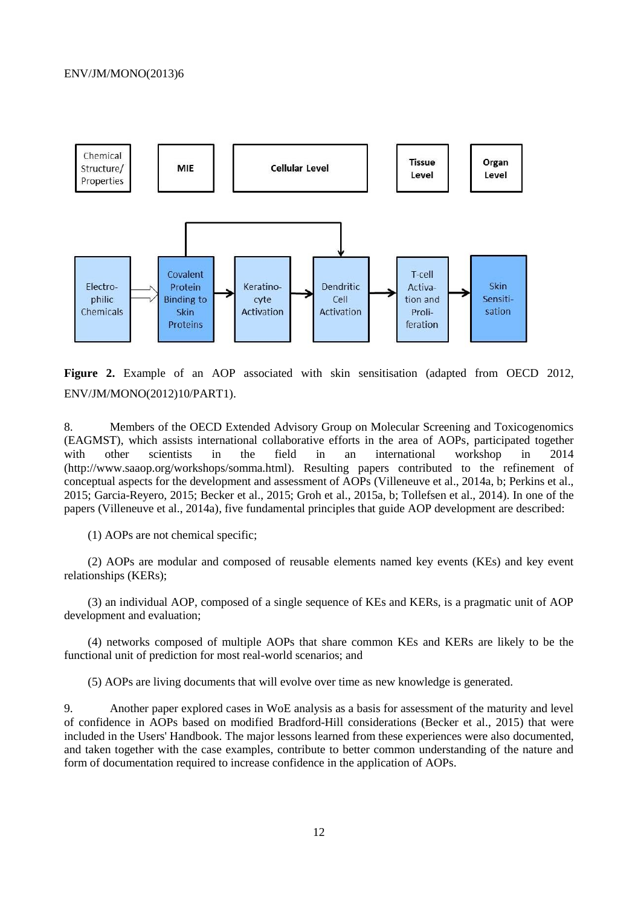

**Figure 2.** Example of an AOP associated with skin sensitisation (adapted from OECD 2012, ENV/JM/MONO(2012)10/PART1).

8. Members of the OECD Extended Advisory Group on Molecular Screening and Toxicogenomics (EAGMST), which assists international collaborative efforts in the area of AOPs, participated together with other scientists in the field in an international workshop in 2014 (http://www.saaop.org/workshops/somma.html). Resulting papers contributed to the refinement of conceptual aspects for the development and assessment of AOPs (Villeneuve et al., 2014a, b; Perkins et al., 2015; Garcia-Reyero, 2015; Becker et al., 2015; Groh et al., 2015a, b; Tollefsen et al., 2014). In one of the papers (Villeneuve et al., 2014a), five fundamental principles that guide AOP development are described:

(1) AOPs are not chemical specific;

(2) AOPs are modular and composed of reusable elements named key events (KEs) and key event relationships (KERs);

(3) an individual AOP, composed of a single sequence of KEs and KERs, is a pragmatic unit of AOP development and evaluation;

(4) networks composed of multiple AOPs that share common KEs and KERs are likely to be the functional unit of prediction for most real-world scenarios; and

(5) AOPs are living documents that will evolve over time as new knowledge is generated.

9. Another paper explored cases in WoE analysis as a basis for assessment of the maturity and level of confidence in AOPs based on modified Bradford-Hill considerations (Becker et al., 2015) that were included in the Users' Handbook. The major lessons learned from these experiences were also documented, and taken together with the case examples, contribute to better common understanding of the nature and form of documentation required to increase confidence in the application of AOPs.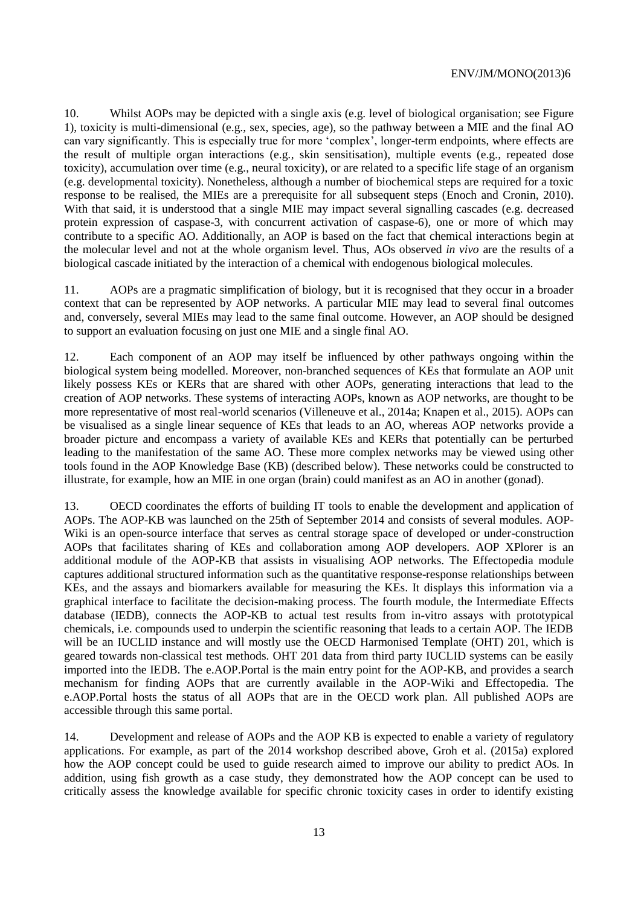10. Whilst AOPs may be depicted with a single axis (e.g. level of biological organisation; see Figure 1), toxicity is multi-dimensional (e.g., sex, species, age), so the pathway between a MIE and the final AO can vary significantly. This is especially true for more 'complex', longer-term endpoints, where effects are the result of multiple organ interactions (e.g., skin sensitisation), multiple events (e.g., repeated dose toxicity), accumulation over time (e.g., neural toxicity), or are related to a specific life stage of an organism (e.g. developmental toxicity). Nonetheless, although a number of biochemical steps are required for a toxic response to be realised, the MIEs are a prerequisite for all subsequent steps (Enoch and Cronin, 2010). With that said, it is understood that a single MIE may impact several signalling cascades (e.g. decreased protein expression of caspase-3, with concurrent activation of caspase-6), one or more of which may contribute to a specific AO. Additionally, an AOP is based on the fact that chemical interactions begin at the molecular level and not at the whole organism level. Thus, AOs observed *in vivo* are the results of a biological cascade initiated by the interaction of a chemical with endogenous biological molecules.

11. AOPs are a pragmatic simplification of biology, but it is recognised that they occur in a broader context that can be represented by AOP networks. A particular MIE may lead to several final outcomes and, conversely, several MIEs may lead to the same final outcome. However, an AOP should be designed to support an evaluation focusing on just one MIE and a single final AO.

12. Each component of an AOP may itself be influenced by other pathways ongoing within the biological system being modelled. Moreover, non-branched sequences of KEs that formulate an AOP unit likely possess KEs or KERs that are shared with other AOPs, generating interactions that lead to the creation of AOP networks. These systems of interacting AOPs, known as AOP networks, are thought to be more representative of most real-world scenarios (Villeneuve et al., 2014a; Knapen et al., 2015). AOPs can be visualised as a single linear sequence of KEs that leads to an AO, whereas AOP networks provide a broader picture and encompass a variety of available KEs and KERs that potentially can be perturbed leading to the manifestation of the same AO. These more complex networks may be viewed using other tools found in the AOP Knowledge Base (KB) (described below). These networks could be constructed to illustrate, for example, how an MIE in one organ (brain) could manifest as an AO in another (gonad).

13. OECD coordinates the efforts of building IT tools to enable the development and application of AOPs. The AOP-KB was launched on the 25th of September 2014 and consists of several modules. AOP-Wiki is an open-source interface that serves as central storage space of developed or under-construction AOPs that facilitates sharing of KEs and collaboration among AOP developers. AOP XPlorer is an additional module of the AOP-KB that assists in visualising AOP networks. The Effectopedia module captures additional structured information such as the quantitative response-response relationships between KEs, and the assays and biomarkers available for measuring the KEs. It displays this information via a graphical interface to facilitate the decision-making process. The fourth module, the Intermediate Effects database (IEDB), connects the AOP-KB to actual test results from in-vitro assays with prototypical chemicals, i.e. compounds used to underpin the scientific reasoning that leads to a certain AOP. The IEDB will be an IUCLID instance and will mostly use the OECD Harmonised Template (OHT) 201, which is geared towards non-classical test methods. OHT 201 data from third party IUCLID systems can be easily imported into the IEDB. The e.AOP.Portal is the main entry point for the AOP-KB, and provides a search mechanism for finding AOPs that are currently available in the AOP-Wiki and Effectopedia. The e.AOP.Portal hosts the status of all AOPs that are in the OECD work plan. All published AOPs are accessible through this same portal.

14. Development and release of AOPs and the AOP KB is expected to enable a variety of regulatory applications. For example, as part of the 2014 workshop described above, Groh et al. (2015a) explored how the AOP concept could be used to guide research aimed to improve our ability to predict AOs. In addition, using fish growth as a case study, they demonstrated how the AOP concept can be used to critically assess the knowledge available for specific chronic toxicity cases in order to identify existing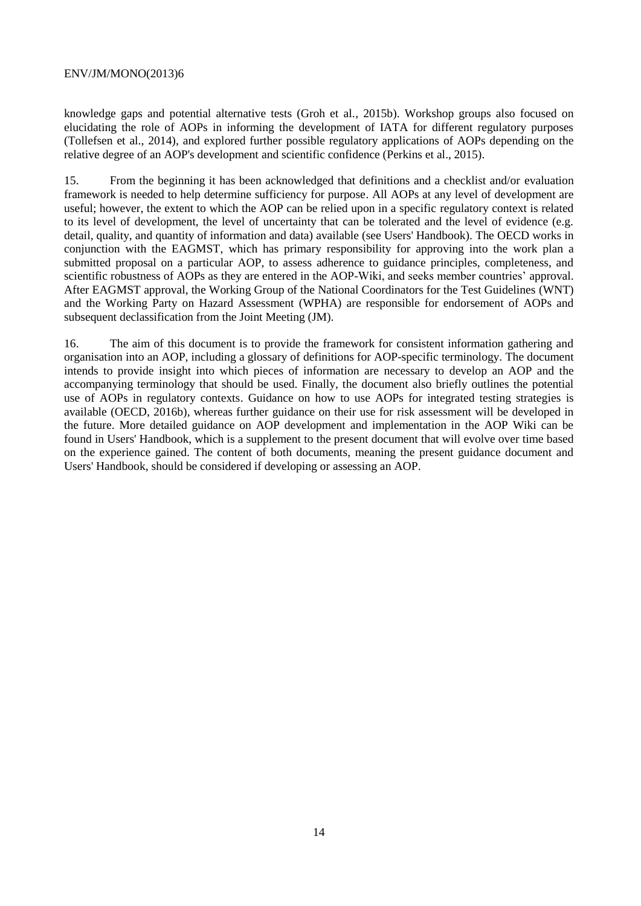knowledge gaps and potential alternative tests (Groh et al., 2015b). Workshop groups also focused on elucidating the role of AOPs in informing the development of IATA for different regulatory purposes (Tollefsen et al., 2014), and explored further possible regulatory applications of AOPs depending on the relative degree of an AOP's development and scientific confidence (Perkins et al., 2015).

15. From the beginning it has been acknowledged that definitions and a checklist and/or evaluation framework is needed to help determine sufficiency for purpose. All AOPs at any level of development are useful; however, the extent to which the AOP can be relied upon in a specific regulatory context is related to its level of development, the level of uncertainty that can be tolerated and the level of evidence (e.g. detail, quality, and quantity of information and data) available (see Users' Handbook). The OECD works in conjunction with the EAGMST, which has primary responsibility for approving into the work plan a submitted proposal on a particular AOP, to assess adherence to guidance principles, completeness, and scientific robustness of AOPs as they are entered in the AOP-Wiki, and seeks member countries' approval. After EAGMST approval, the Working Group of the National Coordinators for the Test Guidelines (WNT) and the Working Party on Hazard Assessment (WPHA) are responsible for endorsement of AOPs and subsequent declassification from the Joint Meeting (JM).

16. The aim of this document is to provide the framework for consistent information gathering and organisation into an AOP, including a glossary of definitions for AOP-specific terminology. The document intends to provide insight into which pieces of information are necessary to develop an AOP and the accompanying terminology that should be used. Finally, the document also briefly outlines the potential use of AOPs in regulatory contexts. Guidance on how to use AOPs for integrated testing strategies is available (OECD, 2016b), whereas further guidance on their use for risk assessment will be developed in the future. More detailed guidance on AOP development and implementation in the AOP Wiki can be found in Users' Handbook, which is a supplement to the present document that will evolve over time based on the experience gained. The content of both documents, meaning the present guidance document and Users' Handbook, should be considered if developing or assessing an AOP.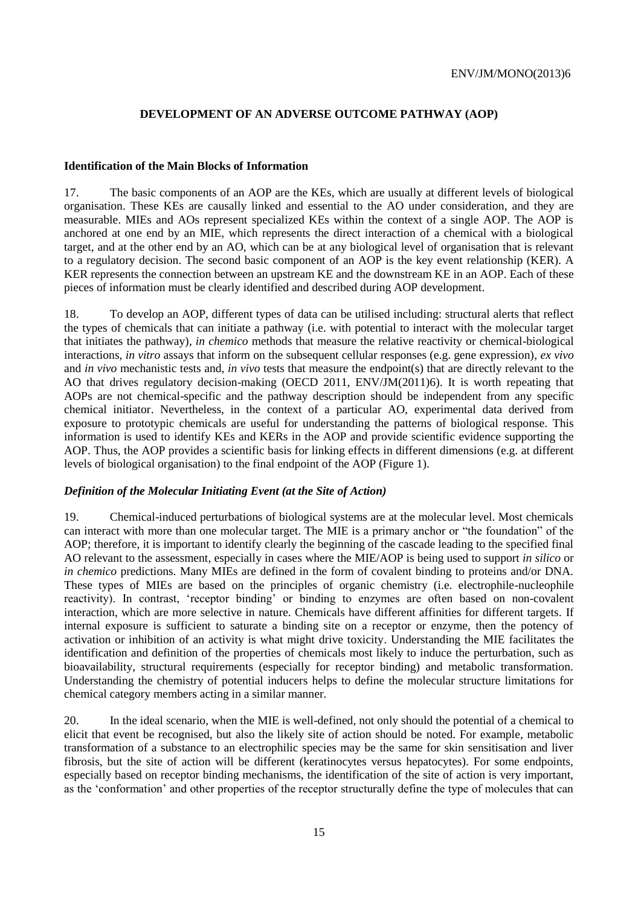## <span id="page-14-0"></span>**DEVELOPMENT OF AN ADVERSE OUTCOME PATHWAY (AOP)**

#### <span id="page-14-1"></span>**Identification of the Main Blocks of Information**

17. The basic components of an AOP are the KEs, which are usually at different levels of biological organisation. These KEs are causally linked and essential to the AO under consideration, and they are measurable. MIEs and AOs represent specialized KEs within the context of a single AOP. The AOP is anchored at one end by an MIE, which represents the direct interaction of a chemical with a biological target, and at the other end by an AO, which can be at any biological level of organisation that is relevant to a regulatory decision. The second basic component of an AOP is the key event relationship (KER). A KER represents the connection between an upstream KE and the downstream KE in an AOP. Each of these pieces of information must be clearly identified and described during AOP development.

18. To develop an AOP, different types of data can be utilised including: structural alerts that reflect the types of chemicals that can initiate a pathway (i.e. with potential to interact with the molecular target that initiates the pathway), *in chemico* methods that measure the relative reactivity or chemical-biological interactions, *in vitro* assays that inform on the subsequent cellular responses (e.g. gene expression), *ex vivo* and *in vivo* mechanistic tests and, *in vivo* tests that measure the endpoint(s) that are directly relevant to the AO that drives regulatory decision-making (OECD 2011, ENV/JM(2011)6). It is worth repeating that AOPs are not chemical-specific and the pathway description should be independent from any specific chemical initiator. Nevertheless, in the context of a particular AO, experimental data derived from exposure to prototypic chemicals are useful for understanding the patterns of biological response. This information is used to identify KEs and KERs in the AOP and provide scientific evidence supporting the AOP. Thus, the AOP provides a scientific basis for linking effects in different dimensions (e.g. at different levels of biological organisation) to the final endpoint of the AOP (Figure 1).

## <span id="page-14-2"></span>*Definition of the Molecular Initiating Event (at the Site of Action)*

19. Chemical-induced perturbations of biological systems are at the molecular level. Most chemicals can interact with more than one molecular target. The MIE is a primary anchor or "the foundation" of the AOP; therefore, it is important to identify clearly the beginning of the cascade leading to the specified final AO relevant to the assessment, especially in cases where the MIE/AOP is being used to support *in silico* or *in chemico* predictions. Many MIEs are defined in the form of covalent binding to proteins and/or DNA. These types of MIEs are based on the principles of organic chemistry (i.e. electrophile-nucleophile reactivity). In contrast, 'receptor binding' or binding to enzymes are often based on non-covalent interaction, which are more selective in nature. Chemicals have different affinities for different targets. If internal exposure is sufficient to saturate a binding site on a receptor or enzyme, then the potency of activation or inhibition of an activity is what might drive toxicity. Understanding the MIE facilitates the identification and definition of the properties of chemicals most likely to induce the perturbation, such as bioavailability, structural requirements (especially for receptor binding) and metabolic transformation. Understanding the chemistry of potential inducers helps to define the molecular structure limitations for chemical category members acting in a similar manner.

20. In the ideal scenario, when the MIE is well-defined, not only should the potential of a chemical to elicit that event be recognised, but also the likely site of action should be noted. For example, metabolic transformation of a substance to an electrophilic species may be the same for skin sensitisation and liver fibrosis, but the site of action will be different (keratinocytes versus hepatocytes). For some endpoints, especially based on receptor binding mechanisms, the identification of the site of action is very important, as the 'conformation' and other properties of the receptor structurally define the type of molecules that can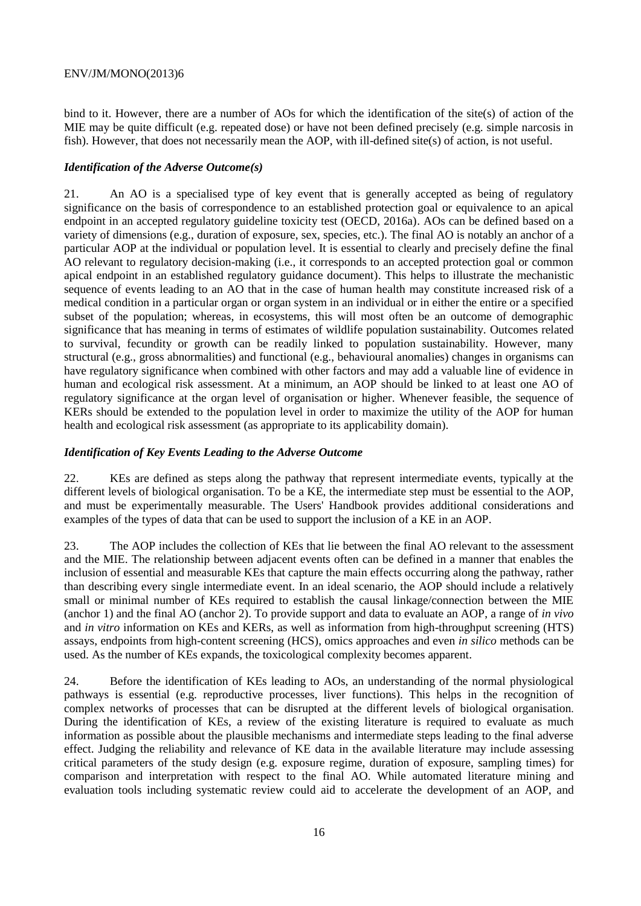bind to it. However, there are a number of AOs for which the identification of the site(s) of action of the MIE may be quite difficult (e.g. repeated dose) or have not been defined precisely (e.g. simple narcosis in fish). However, that does not necessarily mean the AOP, with ill-defined site(s) of action, is not useful.

## <span id="page-15-0"></span>*Identification of the Adverse Outcome(s)*

21. An AO is a specialised type of key event that is generally accepted as being of regulatory significance on the basis of correspondence to an established protection goal or equivalence to an apical endpoint in an accepted regulatory guideline toxicity test (OECD, 2016a). AOs can be defined based on a variety of dimensions (e.g., duration of exposure, sex, species, etc.). The final AO is notably an anchor of a particular AOP at the individual or population level. It is essential to clearly and precisely define the final AO relevant to regulatory decision-making (i.e., it corresponds to an accepted protection goal or common apical endpoint in an established regulatory guidance document). This helps to illustrate the mechanistic sequence of events leading to an AO that in the case of human health may constitute increased risk of a medical condition in a particular organ or organ system in an individual or in either the entire or a specified subset of the population; whereas, in ecosystems, this will most often be an outcome of demographic significance that has meaning in terms of estimates of wildlife population sustainability. Outcomes related to survival, fecundity or growth can be readily linked to population sustainability. However, many structural (e.g., gross abnormalities) and functional (e.g., behavioural anomalies) changes in organisms can have regulatory significance when combined with other factors and may add a valuable line of evidence in human and ecological risk assessment. At a minimum, an AOP should be linked to at least one AO of regulatory significance at the organ level of organisation or higher. Whenever feasible, the sequence of KERs should be extended to the population level in order to maximize the utility of the AOP for human health and ecological risk assessment (as appropriate to its applicability domain).

## <span id="page-15-1"></span>*Identification of Key Events Leading to the Adverse Outcome*

22. KEs are defined as steps along the pathway that represent intermediate events, typically at the different levels of biological organisation. To be a KE, the intermediate step must be essential to the AOP, and must be experimentally measurable. The Users' Handbook provides additional considerations and examples of the types of data that can be used to support the inclusion of a KE in an AOP.

23. The AOP includes the collection of KEs that lie between the final AO relevant to the assessment and the MIE. The relationship between adjacent events often can be defined in a manner that enables the inclusion of essential and measurable KEs that capture the main effects occurring along the pathway, rather than describing every single intermediate event. In an ideal scenario, the AOP should include a relatively small or minimal number of KEs required to establish the causal linkage/connection between the MIE (anchor 1) and the final AO (anchor 2). To provide support and data to evaluate an AOP, a range of *in vivo* and *in vitro* information on KEs and KERs, as well as information from high-throughput screening (HTS) assays, endpoints from high-content screening (HCS), omics approaches and even *in silico* methods can be used. As the number of KEs expands, the toxicological complexity becomes apparent.

24. Before the identification of KEs leading to AOs, an understanding of the normal physiological pathways is essential (e.g. reproductive processes, liver functions). This helps in the recognition of complex networks of processes that can be disrupted at the different levels of biological organisation. During the identification of KEs, a review of the existing literature is required to evaluate as much information as possible about the plausible mechanisms and intermediate steps leading to the final adverse effect. Judging the reliability and relevance of KE data in the available literature may include assessing critical parameters of the study design (e.g. exposure regime, duration of exposure, sampling times) for comparison and interpretation with respect to the final AO. While automated literature mining and evaluation tools including systematic review could aid to accelerate the development of an AOP, and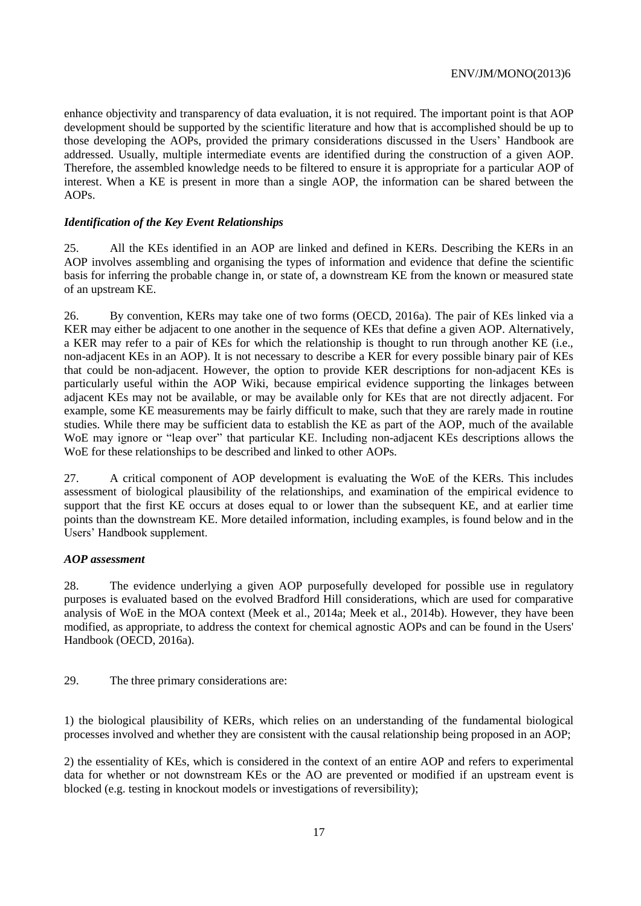enhance objectivity and transparency of data evaluation, it is not required. The important point is that AOP development should be supported by the scientific literature and how that is accomplished should be up to those developing the AOPs, provided the primary considerations discussed in the Users' Handbook are addressed. Usually, multiple intermediate events are identified during the construction of a given AOP. Therefore, the assembled knowledge needs to be filtered to ensure it is appropriate for a particular AOP of interest. When a KE is present in more than a single AOP, the information can be shared between the AOPs.

## <span id="page-16-0"></span>*Identification of the Key Event Relationships*

25. All the KEs identified in an AOP are linked and defined in KERs. Describing the KERs in an AOP involves assembling and organising the types of information and evidence that define the scientific basis for inferring the probable change in, or state of, a downstream KE from the known or measured state of an upstream KE.

26. By convention, KERs may take one of two forms (OECD, 2016a). The pair of KEs linked via a KER may either be adjacent to one another in the sequence of KEs that define a given AOP. Alternatively, a KER may refer to a pair of KEs for which the relationship is thought to run through another KE (i.e., non-adjacent KEs in an AOP). It is not necessary to describe a KER for every possible binary pair of KEs that could be non-adjacent. However, the option to provide KER descriptions for non-adjacent KEs is particularly useful within the AOP Wiki, because empirical evidence supporting the linkages between adjacent KEs may not be available, or may be available only for KEs that are not directly adjacent. For example, some KE measurements may be fairly difficult to make, such that they are rarely made in routine studies. While there may be sufficient data to establish the KE as part of the AOP, much of the available WoE may ignore or "leap over" that particular KE. Including non-adjacent KEs descriptions allows the WoE for these relationships to be described and linked to other AOPs.

27. A critical component of AOP development is evaluating the WoE of the KERs. This includes assessment of biological plausibility of the relationships, and examination of the empirical evidence to support that the first KE occurs at doses equal to or lower than the subsequent KE, and at earlier time points than the downstream KE. More detailed information, including examples, is found below and in the Users' Handbook supplement.

## <span id="page-16-1"></span>*AOP assessment*

28. The evidence underlying a given AOP purposefully developed for possible use in regulatory purposes is evaluated based on the evolved Bradford Hill considerations, which are used for comparative analysis of WoE in the MOA context (Meek et al., 2014a; Meek et al., 2014b). However, they have been modified, as appropriate, to address the context for chemical agnostic AOPs and can be found in the Users' Handbook (OECD, 2016a).

## 29. The three primary considerations are:

1) the biological plausibility of KERs, which relies on an understanding of the fundamental biological processes involved and whether they are consistent with the causal relationship being proposed in an AOP;

2) the essentiality of KEs, which is considered in the context of an entire AOP and refers to experimental data for whether or not downstream KEs or the AO are prevented or modified if an upstream event is blocked (e.g. testing in knockout models or investigations of reversibility);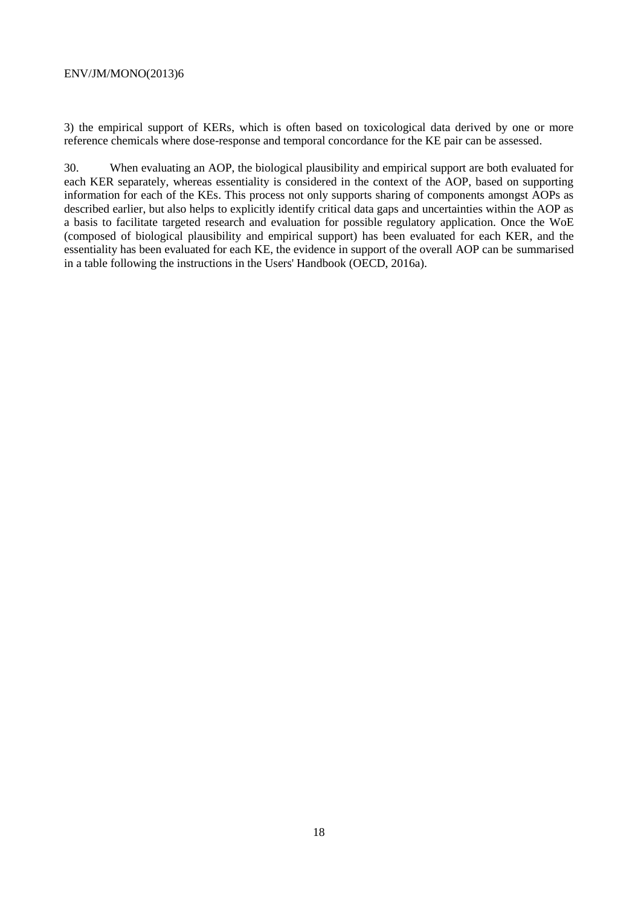3) the empirical support of KERs, which is often based on toxicological data derived by one or more reference chemicals where dose-response and temporal concordance for the KE pair can be assessed.

30. When evaluating an AOP, the biological plausibility and empirical support are both evaluated for each KER separately, whereas essentiality is considered in the context of the AOP, based on supporting information for each of the KEs. This process not only supports sharing of components amongst AOPs as described earlier, but also helps to explicitly identify critical data gaps and uncertainties within the AOP as a basis to facilitate targeted research and evaluation for possible regulatory application. Once the WoE (composed of biological plausibility and empirical support) has been evaluated for each KER, and the essentiality has been evaluated for each KE, the evidence in support of the overall AOP can be summarised in a table following the instructions in the Users' Handbook (OECD, 2016a).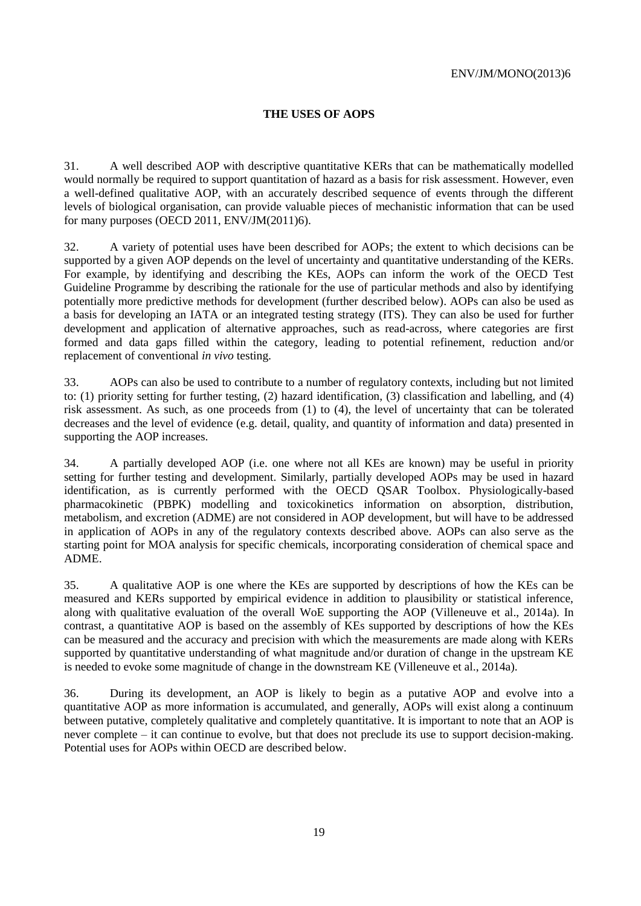## <span id="page-18-0"></span>**THE USES OF AOPS**

31. A well described AOP with descriptive quantitative KERs that can be mathematically modelled would normally be required to support quantitation of hazard as a basis for risk assessment. However, even a well-defined qualitative AOP, with an accurately described sequence of events through the different levels of biological organisation, can provide valuable pieces of mechanistic information that can be used for many purposes (OECD 2011, ENV/JM(2011)6).

32. A variety of potential uses have been described for AOPs; the extent to which decisions can be supported by a given AOP depends on the level of uncertainty and quantitative understanding of the KERs. For example, by identifying and describing the KEs, AOPs can inform the work of the OECD Test Guideline Programme by describing the rationale for the use of particular methods and also by identifying potentially more predictive methods for development (further described below). AOPs can also be used as a basis for developing an IATA or an integrated testing strategy (ITS). They can also be used for further development and application of alternative approaches, such as read-across, where categories are first formed and data gaps filled within the category, leading to potential refinement, reduction and/or replacement of conventional *in vivo* testing.

33. AOPs can also be used to contribute to a number of regulatory contexts, including but not limited to: (1) priority setting for further testing, (2) hazard identification, (3) classification and labelling, and (4) risk assessment. As such, as one proceeds from (1) to (4), the level of uncertainty that can be tolerated decreases and the level of evidence (e.g. detail, quality, and quantity of information and data) presented in supporting the AOP increases.

34. A partially developed AOP (i.e. one where not all KEs are known) may be useful in priority setting for further testing and development. Similarly, partially developed AOPs may be used in hazard identification, as is currently performed with the OECD QSAR Toolbox. Physiologically-based pharmacokinetic (PBPK) modelling and toxicokinetics information on absorption, distribution, metabolism, and excretion (ADME) are not considered in AOP development, but will have to be addressed in application of AOPs in any of the regulatory contexts described above. AOPs can also serve as the starting point for MOA analysis for specific chemicals, incorporating consideration of chemical space and ADME.

35. A qualitative AOP is one where the KEs are supported by descriptions of how the KEs can be measured and KERs supported by empirical evidence in addition to plausibility or statistical inference, along with qualitative evaluation of the overall WoE supporting the AOP (Villeneuve et al., 2014a). In contrast, a quantitative AOP is based on the assembly of KEs supported by descriptions of how the KEs can be measured and the accuracy and precision with which the measurements are made along with KERs supported by quantitative understanding of what magnitude and/or duration of change in the upstream KE is needed to evoke some magnitude of change in the downstream KE (Villeneuve et al., 2014a).

36. During its development, an AOP is likely to begin as a putative AOP and evolve into a quantitative AOP as more information is accumulated, and generally, AOPs will exist along a continuum between putative, completely qualitative and completely quantitative. It is important to note that an AOP is never complete – it can continue to evolve, but that does not preclude its use to support decision-making. Potential uses for AOPs within OECD are described below.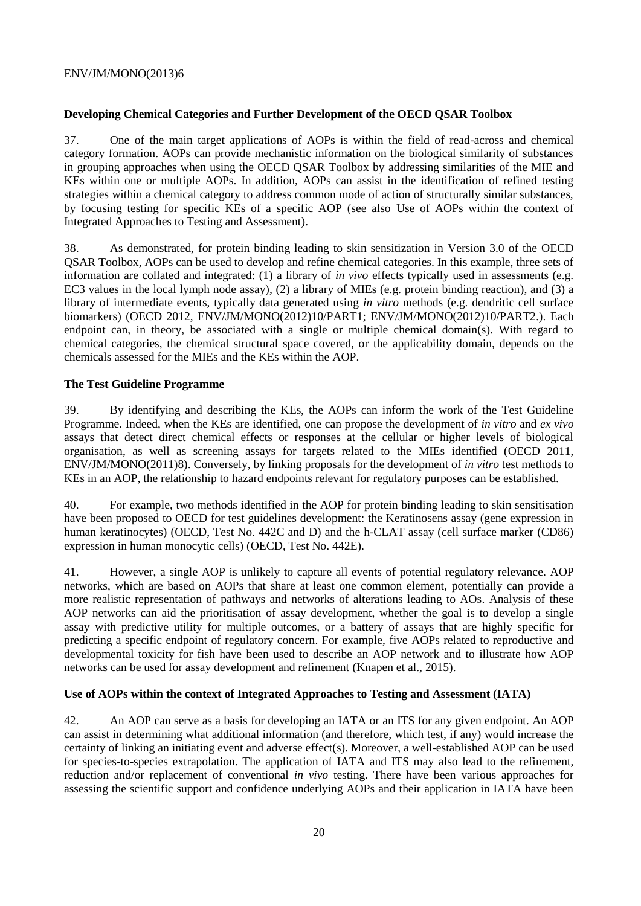## <span id="page-19-0"></span>**Developing Chemical Categories and Further Development of the OECD QSAR Toolbox**

37. One of the main target applications of AOPs is within the field of read-across and chemical category formation. AOPs can provide mechanistic information on the biological similarity of substances in grouping approaches when using the OECD QSAR Toolbox by addressing similarities of the MIE and KEs within one or multiple AOPs. In addition, AOPs can assist in the identification of refined testing strategies within a chemical category to address common mode of action of structurally similar substances, by focusing testing for specific KEs of a specific AOP (see also Use of AOPs within the context of Integrated Approaches to Testing and Assessment).

38. As demonstrated, for protein binding leading to skin sensitization in Version 3.0 of the OECD QSAR Toolbox, AOPs can be used to develop and refine chemical categories. In this example, three sets of information are collated and integrated: (1) a library of *in vivo* effects typically used in assessments (e.g. EC3 values in the local lymph node assay), (2) a library of MIEs (e.g. protein binding reaction), and (3) a library of intermediate events, typically data generated using *in vitro* methods (e.g. dendritic cell surface biomarkers) (OECD 2012, ENV/JM/MONO(2012)10/PART1; ENV/JM/MONO(2012)10/PART2.). Each endpoint can, in theory, be associated with a single or multiple chemical domain(s). With regard to chemical categories, the chemical structural space covered, or the applicability domain, depends on the chemicals assessed for the MIEs and the KEs within the AOP.

## <span id="page-19-1"></span>**The Test Guideline Programme**

39. By identifying and describing the KEs, the AOPs can inform the work of the Test Guideline Programme. Indeed, when the KEs are identified, one can propose the development of *in vitro* and *ex vivo*  assays that detect direct chemical effects or responses at the cellular or higher levels of biological organisation, as well as screening assays for targets related to the MIEs identified (OECD 2011, ENV/JM/MONO(2011)8). Conversely, by linking proposals for the development of *in vitro* test methods to KEs in an AOP, the relationship to hazard endpoints relevant for regulatory purposes can be established.

40. For example, two methods identified in the AOP for protein binding leading to skin sensitisation have been proposed to OECD for test guidelines development: the Keratinosens assay (gene expression in human keratinocytes) (OECD, Test No. 442C and D) and the h-CLAT assay (cell surface marker (CD86) expression in human monocytic cells) (OECD, Test No. 442E).

41. However, a single AOP is unlikely to capture all events of potential regulatory relevance. AOP networks, which are based on AOPs that share at least one common element, potentially can provide a more realistic representation of pathways and networks of alterations leading to AOs. Analysis of these AOP networks can aid the prioritisation of assay development, whether the goal is to develop a single assay with predictive utility for multiple outcomes, or a battery of assays that are highly specific for predicting a specific endpoint of regulatory concern. For example, five AOPs related to reproductive and developmental toxicity for fish have been used to describe an AOP network and to illustrate how AOP networks can be used for assay development and refinement (Knapen et al., 2015).

## <span id="page-19-2"></span>**Use of AOPs within the context of Integrated Approaches to Testing and Assessment (IATA)**

42. An AOP can serve as a basis for developing an IATA or an ITS for any given endpoint. An AOP can assist in determining what additional information (and therefore, which test, if any) would increase the certainty of linking an initiating event and adverse effect(s). Moreover, a well-established AOP can be used for species-to-species extrapolation. The application of IATA and ITS may also lead to the refinement, reduction and/or replacement of conventional *in vivo* testing. There have been various approaches for assessing the scientific support and confidence underlying AOPs and their application in IATA have been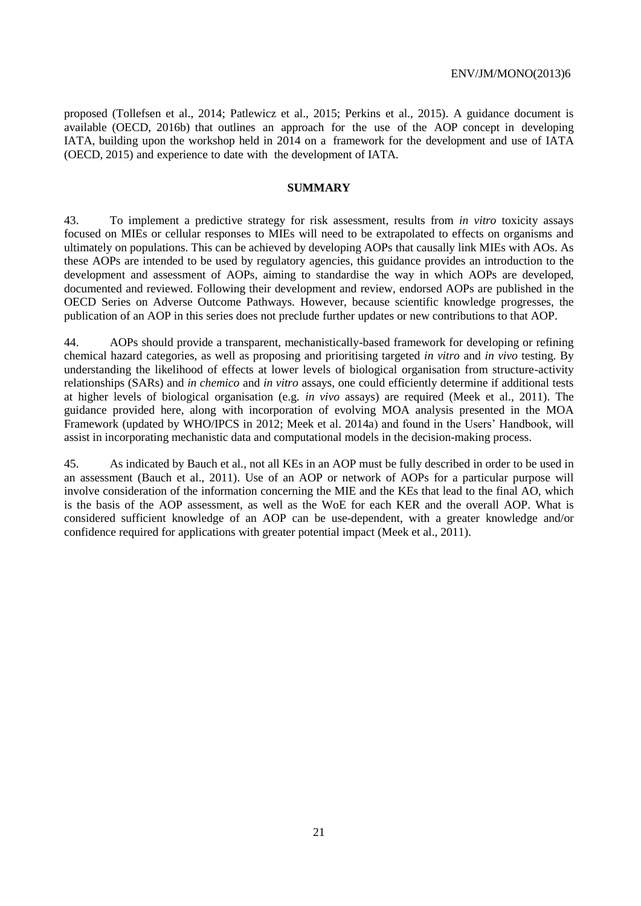proposed (Tollefsen et al., 2014; Patlewicz et al., 2015; Perkins et al., 2015). A guidance document is available (OECD, 2016b) that outlines an approach for the use of the AOP concept in developing IATA, building upon the workshop held in 2014 on a framework for the development and use of IATA (OECD, 2015) and experience to date with the development of IATA.

#### <span id="page-20-0"></span>**SUMMARY**

43. To implement a predictive strategy for risk assessment, results from *in vitro* toxicity assays focused on MIEs or cellular responses to MIEs will need to be extrapolated to effects on organisms and ultimately on populations. This can be achieved by developing AOPs that causally link MIEs with AOs. As these AOPs are intended to be used by regulatory agencies, this guidance provides an introduction to the development and assessment of AOPs, aiming to standardise the way in which AOPs are developed, documented and reviewed. Following their development and review, endorsed AOPs are published in the OECD Series on Adverse Outcome Pathways. However, because scientific knowledge progresses, the publication of an AOP in this series does not preclude further updates or new contributions to that AOP.

44. AOPs should provide a transparent, mechanistically-based framework for developing or refining chemical hazard categories, as well as proposing and prioritising targeted *in vitro* and *in vivo* testing. By understanding the likelihood of effects at lower levels of biological organisation from structure-activity relationships (SARs) and *in chemico* and *in vitro* assays, one could efficiently determine if additional tests at higher levels of biological organisation (e.g. *in vivo* assays) are required (Meek et al., 2011). The guidance provided here, along with incorporation of evolving MOA analysis presented in the MOA Framework (updated by WHO/IPCS in 2012; Meek et al. 2014a) and found in the Users' Handbook, will assist in incorporating mechanistic data and computational models in the decision-making process.

45. As indicated by Bauch et al., not all KEs in an AOP must be fully described in order to be used in an assessment (Bauch et al., 2011). Use of an AOP or network of AOPs for a particular purpose will involve consideration of the information concerning the MIE and the KEs that lead to the final AO, which is the basis of the AOP assessment, as well as the WoE for each KER and the overall AOP. What is considered sufficient knowledge of an AOP can be use-dependent, with a greater knowledge and/or confidence required for applications with greater potential impact (Meek et al., 2011).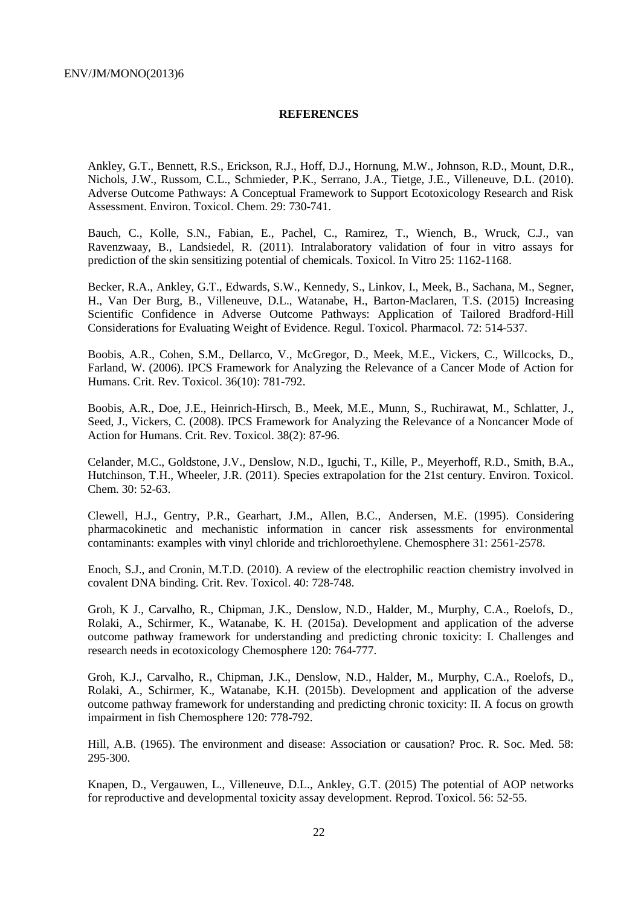#### <span id="page-21-0"></span>**REFERENCES**

Ankley, G.T., Bennett, R.S., Erickson, R.J., Hoff, D.J., Hornung, M.W., Johnson, R.D., Mount, D.R., Nichols, J.W., Russom, C.L., Schmieder, P.K., Serrano, J.A., Tietge, J.E., Villeneuve, D.L. (2010). Adverse Outcome Pathways: A Conceptual Framework to Support Ecotoxicology Research and Risk Assessment. Environ. Toxicol. Chem. 29: 730-741.

Bauch, C., Kolle, S.N., Fabian, E., Pachel, C., Ramirez, T., Wiench, B., Wruck, C.J., van Ravenzwaay, B., Landsiedel, R. (2011). Intralaboratory validation of four in vitro assays for prediction of the skin sensitizing potential of chemicals. Toxicol. In Vitro 25: 1162-1168.

Becker, R.A., Ankley, G.T., Edwards, S.W., Kennedy, S., Linkov, I., Meek, B., Sachana, M., Segner, H., Van Der Burg, B., Villeneuve, D.L., Watanabe, H., Barton-Maclaren, T.S. (2015) Increasing Scientific Confidence in Adverse Outcome Pathways: Application of Tailored Bradford-Hill Considerations for Evaluating Weight of Evidence. Regul. Toxicol. Pharmacol. 72: 514-537.

Boobis, A.R., Cohen, S.M., Dellarco, V., McGregor, D., Meek, M.E., Vickers, C., Willcocks, D., Farland, W. (2006). IPCS Framework for Analyzing the Relevance of a Cancer Mode of Action for Humans. Crit. Rev. Toxicol. 36(10): 781-792.

Boobis, A.R., Doe, J.E., Heinrich-Hirsch, B., Meek, M.E., Munn, S., Ruchirawat, M., Schlatter, J., Seed, J., Vickers, C. (2008). IPCS Framework for Analyzing the Relevance of a Noncancer Mode of Action for Humans. Crit. Rev. Toxicol. 38(2): 87-96.

Celander, M.C., Goldstone, J.V., Denslow, N.D., Iguchi, T., Kille, P., Meyerhoff, R.D., Smith, B.A., Hutchinson, T.H., Wheeler, J.R. (2011). Species extrapolation for the 21st century. Environ. Toxicol. Chem. 30: 52-63.

Clewell, H.J., Gentry, P.R., Gearhart, J.M., Allen, B.C., Andersen, M.E. (1995). Considering pharmacokinetic and mechanistic information in cancer risk assessments for environmental contaminants: examples with vinyl chloride and trichloroethylene. Chemosphere 31: 2561-2578.

Enoch, S.J., and Cronin, M.T.D. (2010). A review of the electrophilic reaction chemistry involved in covalent DNA binding. Crit. Rev. Toxicol. 40: 728-748.

Groh, K J., Carvalho, R., Chipman, J.K., Denslow, N.D., Halder, M., Murphy, C.A., Roelofs, D., Rolaki, A., Schirmer, K., Watanabe, K. H. (2015a). Development and application of the adverse outcome pathway framework for understanding and predicting chronic toxicity: I. Challenges and research needs in ecotoxicology Chemosphere 120: 764-777.

Groh, K.J., Carvalho, R., Chipman, J.K., Denslow, N.D., Halder, M., Murphy, C.A., Roelofs, D., Rolaki, A., Schirmer, K., Watanabe, K.H. (2015b). Development and application of the adverse outcome pathway framework for understanding and predicting chronic toxicity: II. A focus on growth impairment in fish Chemosphere 120: 778-792.

Hill, A.B. (1965). The environment and disease: Association or causation? Proc. R. Soc. Med. 58: 295-300.

Knapen, D., Vergauwen, L., Villeneuve, D.L., Ankley, G.T. (2015) The potential of AOP networks for reproductive and developmental toxicity assay development. Reprod. Toxicol. 56: 52-55.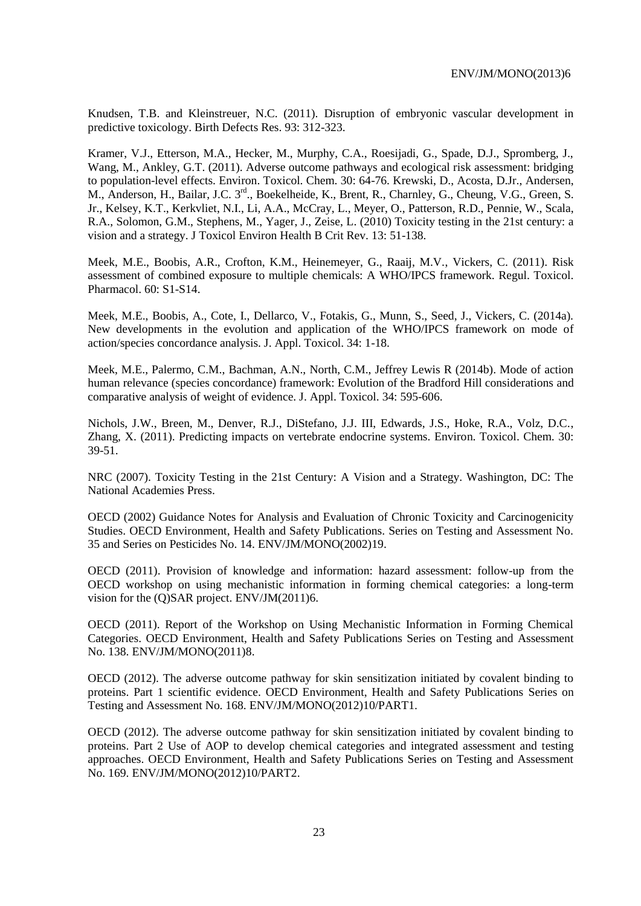Knudsen, T.B. and Kleinstreuer, N.C. (2011). Disruption of embryonic vascular development in predictive toxicology. Birth Defects Res. 93: 312-323.

Kramer, V.J., Etterson, M.A., Hecker, M., Murphy, C.A., Roesijadi, G., Spade, D.J., Spromberg, J., Wang, M., Ankley, G.T. (2011). Adverse outcome pathways and ecological risk assessment: bridging to population-level effects. Environ. Toxicol. Chem. 30: 64-76. Krewski, D., Acosta, D.Jr., Andersen, M., Anderson, H., Bailar, J.C. 3<sup>rd</sup>., Boekelheide, K., Brent, R., Charnley, G., Cheung, V.G., Green, S. Jr., Kelsey, K.T., Kerkvliet, N.I., Li, A.A., McCray, L., Meyer, O., Patterson, R.D., Pennie, W., Scala, R.A., Solomon, G.M., Stephens, M., Yager, J., Zeise, L. (2010) Toxicity testing in the 21st century: a vision and a strategy. J Toxicol Environ Health B Crit Rev. 13: 51-138.

Meek, M.E., Boobis, A.R., Crofton, K.M., Heinemeyer, G., Raaij, M.V., Vickers, C. (2011). Risk assessment of combined exposure to multiple chemicals: A WHO/IPCS framework. Regul. Toxicol. Pharmacol. 60: S1-S14.

Meek, M.E., Boobis, A., Cote, I., Dellarco, V., Fotakis, G., Munn, S., Seed, J., Vickers, C. (2014a). New developments in the evolution and application of the WHO/IPCS framework on mode of action/species concordance analysis. J. Appl. Toxicol. 34: 1-18.

Meek, M.E., Palermo, C.M., Bachman, A.N., North, C.M., Jeffrey Lewis R (2014b). Mode of action human relevance (species concordance) framework: Evolution of the Bradford Hill considerations and comparative analysis of weight of evidence. J. Appl. Toxicol. 34: 595-606.

Nichols, J.W., Breen, M., Denver, R.J., DiStefano, J.J. III, Edwards, J.S., Hoke, R.A., Volz, D.C., Zhang, X. (2011). Predicting impacts on vertebrate endocrine systems. Environ. Toxicol. Chem. 30: 39-51.

NRC (2007). Toxicity Testing in the 21st Century: A Vision and a Strategy. Washington, DC: The National Academies Press.

OECD (2002) Guidance Notes for Analysis and Evaluation of Chronic Toxicity and Carcinogenicity Studies. OECD Environment, Health and Safety Publications. Series on Testing and Assessment No. 35 and Series on Pesticides No. 14. ENV/JM/MONO(2002)19.

OECD (2011). Provision of knowledge and information: hazard assessment: follow-up from the OECD workshop on using mechanistic information in forming chemical categories: a long-term vision for the (Q)SAR project. ENV/JM(2011)6.

OECD (2011). Report of the Workshop on Using Mechanistic Information in Forming Chemical Categories. OECD Environment, Health and Safety Publications Series on Testing and Assessment No. 138. ENV/JM/MONO(2011)8.

OECD (2012). The adverse outcome pathway for skin sensitization initiated by covalent binding to proteins. Part 1 scientific evidence. OECD Environment, Health and Safety Publications Series on Testing and Assessment No. 168. ENV/JM/MONO(2012)10/PART1.

OECD (2012). The adverse outcome pathway for skin sensitization initiated by covalent binding to proteins. Part 2 Use of AOP to develop chemical categories and integrated assessment and testing approaches. OECD Environment, Health and Safety Publications Series on Testing and Assessment No. 169. ENV/JM/MONO(2012)10/PART2.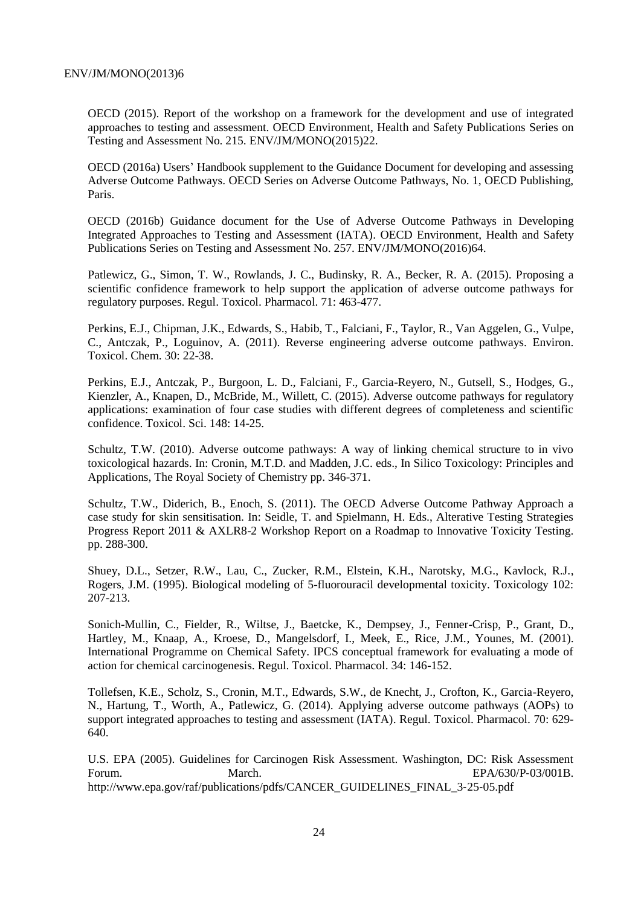OECD (2015). Report of the workshop on a framework for the development and use of integrated approaches to testing and assessment. OECD Environment, Health and Safety Publications Series on Testing and Assessment No. 215. ENV/JM/MONO(2015)22.

OECD (2016a) Users' Handbook supplement to the Guidance Document for developing and assessing Adverse Outcome Pathways. OECD Series on Adverse Outcome Pathways, No. 1, OECD Publishing, Paris.

OECD (2016b) Guidance document for the Use of Adverse Outcome Pathways in Developing Integrated Approaches to Testing and Assessment (IATA). OECD Environment, Health and Safety Publications Series on Testing and Assessment No. 257. ENV/JM/MONO(2016)64.

Patlewicz, G., Simon, T. W., Rowlands, J. C., Budinsky, R. A., Becker, R. A. (2015). Proposing a scientific confidence framework to help support the application of adverse outcome pathways for regulatory purposes. Regul. Toxicol. Pharmacol. 71: 463-477.

Perkins, E.J., Chipman, J.K., Edwards, S., Habib, T., Falciani, F., Taylor, R., Van Aggelen, G., Vulpe, C., Antczak, P., Loguinov, A. (2011). Reverse engineering adverse outcome pathways. Environ. Toxicol. Chem. 30: 22-38.

Perkins, E.J., Antczak, P., Burgoon, L. D., Falciani, F., Garcia-Reyero, N., Gutsell, S., Hodges, G., Kienzler, A., Knapen, D., McBride, M., Willett, C. (2015). Adverse outcome pathways for regulatory applications: examination of four case studies with different degrees of completeness and scientific confidence. Toxicol. Sci. 148: 14-25.

Schultz, T.W. (2010). Adverse outcome pathways: A way of linking chemical structure to in vivo toxicological hazards. In: Cronin, M.T.D. and Madden, J.C. eds., In Silico Toxicology: Principles and Applications, The Royal Society of Chemistry pp. 346-371.

Schultz, T.W., Diderich, B., Enoch, S. (2011). The OECD Adverse Outcome Pathway Approach a case study for skin sensitisation. In: Seidle, T. and Spielmann, H. Eds., Alterative Testing Strategies Progress Report 2011 & AXLR8-2 Workshop Report on a Roadmap to Innovative Toxicity Testing. pp. 288-300.

Shuey, D.L., Setzer, R.W., Lau, C., Zucker, R.M., Elstein, K.H., Narotsky, M.G., Kavlock, R.J., Rogers, J.M. (1995). Biological modeling of 5-fluorouracil developmental toxicity. Toxicology 102: 207-213.

Sonich-Mullin, C., Fielder, R., Wiltse, J., Baetcke, K., Dempsey, J., Fenner-Crisp, P., Grant, D., Hartley, M., Knaap, A., Kroese, D., Mangelsdorf, I., Meek, E., Rice, J.M., Younes, M. (2001). International Programme on Chemical Safety. IPCS conceptual framework for evaluating a mode of action for chemical carcinogenesis. Regul. Toxicol. Pharmacol. 34: 146-152.

Tollefsen, K.E., Scholz, S., Cronin, M.T., Edwards, S.W., de Knecht, J., Crofton, K., Garcia-Reyero, N., Hartung, T., Worth, A., Patlewicz, G. (2014). Applying adverse outcome pathways (AOPs) to support integrated approaches to testing and assessment (IATA). Regul. Toxicol. Pharmacol. 70: 629- 640.

U.S. EPA (2005). Guidelines for Carcinogen Risk Assessment. Washington, DC: Risk Assessment Forum. March. EPA/630/P‐03/001B. http://www.epa.gov/raf/publications/pdfs/CANCER\_GUIDELINES\_FINAL\_3‐25‐05.pdf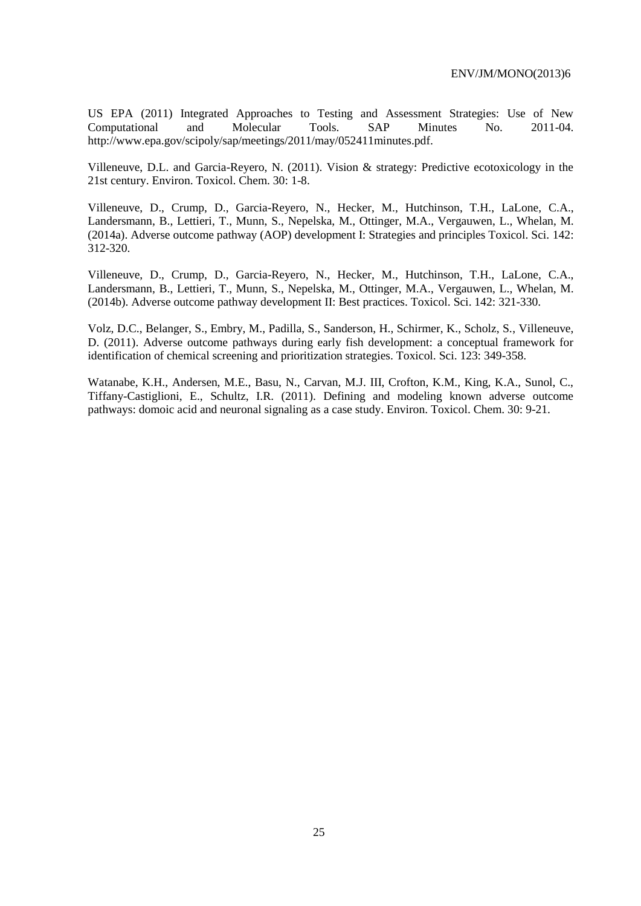US EPA (2011) Integrated Approaches to Testing and Assessment Strategies: Use of New Computational and Molecular Tools. SAP Minutes No. 2011-04. http://www.epa.gov/scipoly/sap/meetings/2011/may/052411minutes.pdf.

Villeneuve, D.L. and Garcia-Reyero, N. (2011). Vision & strategy: Predictive ecotoxicology in the 21st century. Environ. Toxicol. Chem. 30: 1-8.

Villeneuve, D., Crump, D., Garcia-Reyero, N., Hecker, M., Hutchinson, T.H., LaLone, C.A., Landersmann, B., Lettieri, T., Munn, S., Nepelska, M., Ottinger, M.A., Vergauwen, L., Whelan, M. (2014a). Adverse outcome pathway (AOP) development I: Strategies and principles Toxicol. Sci. 142: 312-320.

Villeneuve, D., Crump, D., Garcia-Reyero, N., Hecker, M., Hutchinson, T.H., LaLone, C.A., Landersmann, B., Lettieri, T., Munn, S., Nepelska, M., Ottinger, M.A., Vergauwen, L., Whelan, M. (2014b). Adverse outcome pathway development II: Best practices. Toxicol. Sci. 142: 321-330.

Volz, D.C., Belanger, S., Embry, M., Padilla, S., Sanderson, H., Schirmer, K., Scholz, S., Villeneuve, D. (2011). Adverse outcome pathways during early fish development: a conceptual framework for identification of chemical screening and prioritization strategies. Toxicol. Sci. 123: 349-358.

Watanabe, K.H., Andersen, M.E., Basu, N., Carvan, M.J. III, Crofton, K.M., King, K.A., Sunol, C., Tiffany-Castiglioni, E., Schultz, I.R. (2011). Defining and modeling known adverse outcome pathways: domoic acid and neuronal signaling as a case study. Environ. Toxicol. Chem. 30: 9-21.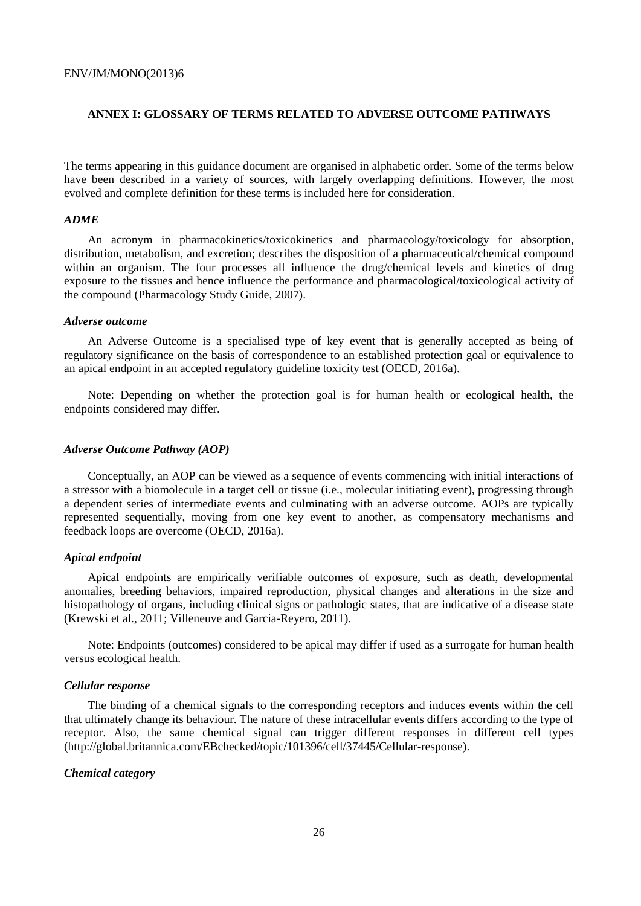## <span id="page-25-0"></span>**ANNEX I: GLOSSARY OF TERMS RELATED TO ADVERSE OUTCOME PATHWAYS**

The terms appearing in this guidance document are organised in alphabetic order. Some of the terms below have been described in a variety of sources, with largely overlapping definitions. However, the most evolved and complete definition for these terms is included here for consideration.

#### *ADME*

An acronym in pharmacokinetics/toxicokinetics and pharmacology/toxicology for absorption, distribution, metabolism, and excretion; describes the disposition of a pharmaceutical/chemical compound within an organism. The four processes all influence the drug/chemical levels and kinetics of drug exposure to the tissues and hence influence the performance and pharmacological/toxicological activity of the compound (Pharmacology Study Guide, 2007).

#### *Adverse outcome*

An Adverse Outcome is a specialised type of key event that is generally accepted as being of regulatory significance on the basis of correspondence to an established protection goal or equivalence to an apical endpoint in an accepted regulatory guideline toxicity test (OECD, 2016a).

Note: Depending on whether the protection goal is for human health or ecological health, the endpoints considered may differ.

#### *Adverse Outcome Pathway (AOP)*

Conceptually, an AOP can be viewed as a sequence of events commencing with initial interactions of a stressor with a biomolecule in a target cell or tissue (i.e., molecular initiating event), progressing through a dependent series of intermediate events and culminating with an adverse outcome. AOPs are typically represented sequentially, moving from one key event to another, as compensatory mechanisms and feedback loops are overcome (OECD, 2016a).

#### *Apical endpoint*

Apical endpoints are empirically verifiable outcomes of exposure, such as death, developmental anomalies, breeding behaviors, impaired reproduction, physical changes and alterations in the size and histopathology of organs, including clinical signs or pathologic states, that are indicative of a disease state (Krewski et al., 2011; Villeneuve and Garcia-Reyero, 2011).

Note: Endpoints (outcomes) considered to be apical may differ if used as a surrogate for human health versus ecological health.

#### *Cellular response*

The binding of a chemical signals to the corresponding receptors and induces events within the cell that ultimately change its behaviour. The nature of these intracellular events differs according to the type of receptor. Also, the same chemical signal can trigger different responses in different cell types (http://global.britannica.com/EBchecked/topic/101396/cell/37445/Cellular-response).

#### *Chemical category*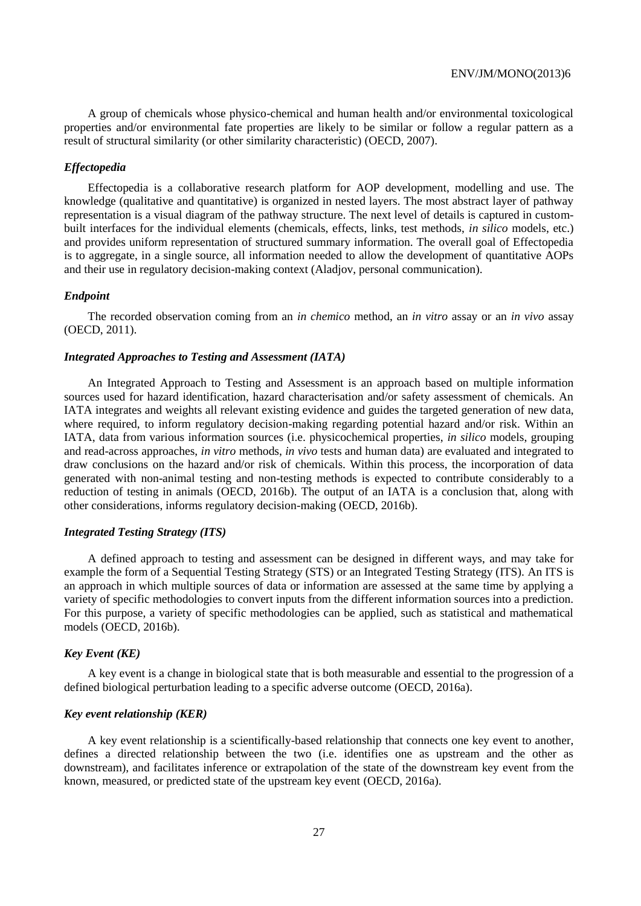A group of chemicals whose physico-chemical and human health and/or environmental toxicological properties and/or environmental fate properties are likely to be similar or follow a regular pattern as a result of structural similarity (or other similarity characteristic) (OECD, 2007).

#### *Effectopedia*

Effectopedia is a collaborative research platform for AOP development, modelling and use. The knowledge (qualitative and quantitative) is organized in nested layers. The most abstract layer of pathway representation is a visual diagram of the pathway structure. The next level of details is captured in custombuilt interfaces for the individual elements (chemicals, effects, links, test methods, *in silico* models, etc.) and provides uniform representation of structured summary information. The overall goal of Effectopedia is to aggregate, in a single source, all information needed to allow the development of quantitative AOPs and their use in regulatory decision-making context (Aladjov, personal communication).

#### *Endpoint*

The recorded observation coming from an *in chemico* method, an *in vitro* assay or an *in vivo* assay (OECD, 2011).

#### *Integrated Approaches to Testing and Assessment (IATA)*

An Integrated Approach to Testing and Assessment is an approach based on multiple information sources used for hazard identification, hazard characterisation and/or safety assessment of chemicals. An IATA integrates and weights all relevant existing evidence and guides the targeted generation of new data, where required, to inform regulatory decision-making regarding potential hazard and/or risk. Within an IATA, data from various information sources (i.e. physicochemical properties, *in silico* models, grouping and read-across approaches, *in vitro* methods, *in vivo* tests and human data) are evaluated and integrated to draw conclusions on the hazard and/or risk of chemicals. Within this process, the incorporation of data generated with non-animal testing and non-testing methods is expected to contribute considerably to a reduction of testing in animals (OECD, 2016b). The output of an IATA is a conclusion that, along with other considerations, informs regulatory decision-making (OECD, 2016b).

#### *Integrated Testing Strategy (ITS)*

A defined approach to testing and assessment can be designed in different ways, and may take for example the form of a Sequential Testing Strategy (STS) or an Integrated Testing Strategy (ITS). An ITS is an approach in which multiple sources of data or information are assessed at the same time by applying a variety of specific methodologies to convert inputs from the different information sources into a prediction. For this purpose, a variety of specific methodologies can be applied, such as statistical and mathematical models (OECD, 2016b).

#### *Key Event (KE)*

A key event is a change in biological state that is both measurable and essential to the progression of a defined biological perturbation leading to a specific adverse outcome (OECD, 2016a).

#### *Key event relationship (KER)*

A key event relationship is a scientifically-based relationship that connects one key event to another, defines a directed relationship between the two (i.e. identifies one as upstream and the other as downstream), and facilitates inference or extrapolation of the state of the downstream key event from the known, measured, or predicted state of the upstream key event (OECD, 2016a).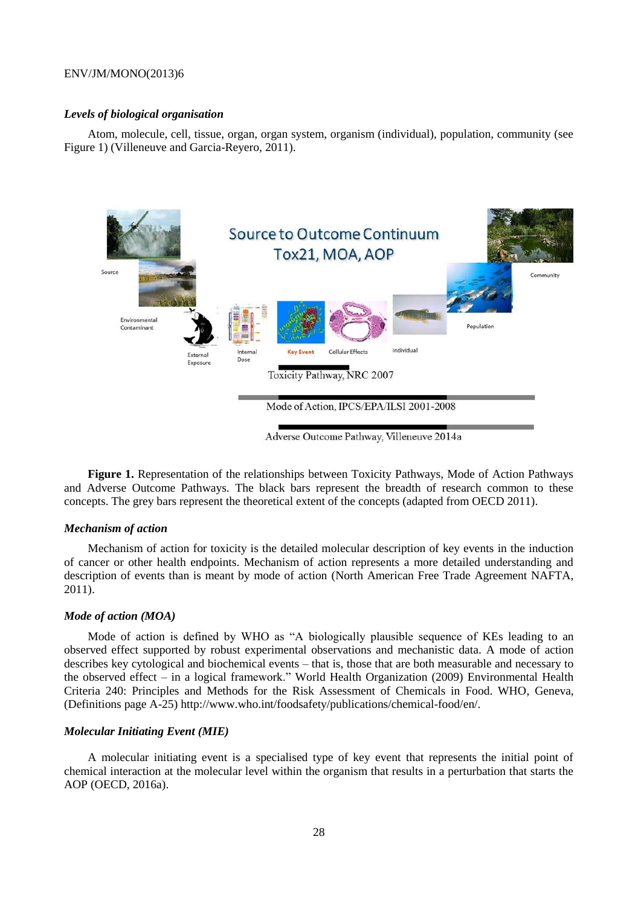#### *Levels of biological organisation*

Atom, molecule, cell, tissue, organ, organ system, organism (individual), population, community (see Figure 1) (Villeneuve and Garcia-Reyero, 2011).



**Figure 1.** Representation of the relationships between Toxicity Pathways, Mode of Action Pathways and Adverse Outcome Pathways. The black bars represent the breadth of research common to these concepts. The grey bars represent the theoretical extent of the concepts (adapted from OECD 2011).

#### *Mechanism of action*

Mechanism of action for toxicity is the detailed molecular description of key events in the induction of cancer or other health endpoints. Mechanism of action represents a more detailed understanding and description of events than is meant by mode of action (North American Free Trade Agreement NAFTA, 2011).

#### *Mode of action (MOA)*

Mode of action is defined by WHO as "A biologically plausible sequence of KEs leading to an observed effect supported by robust experimental observations and mechanistic data. A mode of action describes key cytological and biochemical events – that is, those that are both measurable and necessary to the observed effect – in a logical framework." World Health Organization (2009) Environmental Health Criteria 240: Principles and Methods for the Risk Assessment of Chemicals in Food. WHO, Geneva, (Definitions page A-25) http://www.who.int/foodsafety/publications/chemical-food/en/.

#### *Molecular Initiating Event (MIE)*

A molecular initiating event is a specialised type of key event that represents the initial point of chemical interaction at the molecular level within the organism that results in a perturbation that starts the AOP (OECD, 2016a).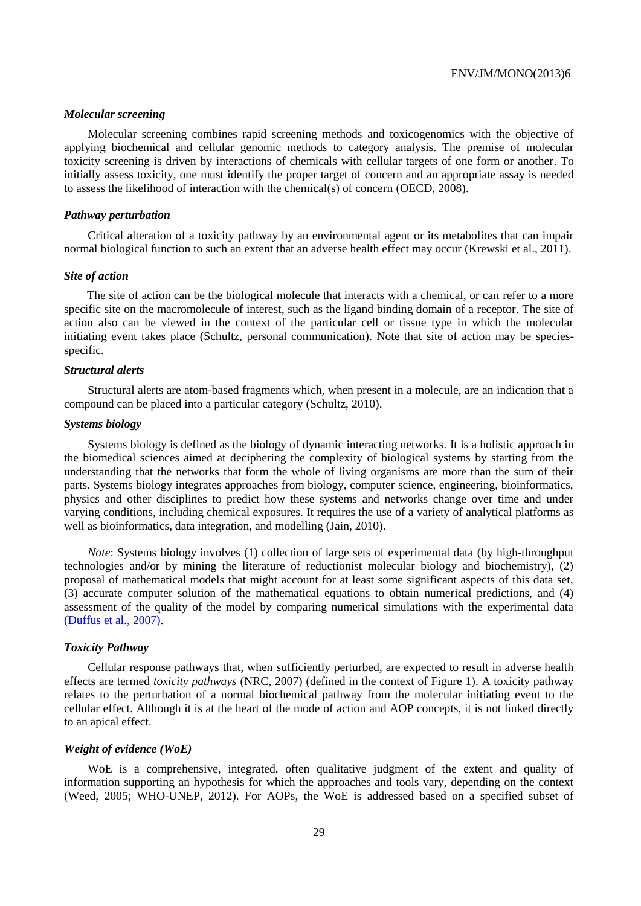#### *Molecular screening*

Molecular screening combines rapid screening methods and toxicogenomics with the objective of applying biochemical and cellular genomic methods to category analysis. The premise of molecular toxicity screening is driven by interactions of chemicals with cellular targets of one form or another. To initially assess toxicity, one must identify the proper target of concern and an appropriate assay is needed to assess the likelihood of interaction with the chemical(s) of concern (OECD, 2008).

#### *Pathway perturbation*

Critical alteration of a toxicity pathway by an environmental agent or its metabolites that can impair normal biological function to such an extent that an adverse health effect may occur (Krewski et al., 2011).

#### *Site of action*

The site of action can be the biological molecule that interacts with a chemical, or can refer to a more specific site on the macromolecule of interest, such as the ligand binding domain of a receptor. The site of action also can be viewed in the context of the particular cell or tissue type in which the molecular initiating event takes place (Schultz, personal communication). Note that site of action may be speciesspecific.

## *Structural alerts*

Structural alerts are atom-based fragments which, when present in a molecule, are an indication that a compound can be placed into a particular category (Schultz, 2010).

#### *Systems biology*

Systems biology is defined as the biology of dynamic interacting networks. It is a holistic approach in the biomedical sciences aimed at deciphering the complexity of biological systems by starting from the understanding that the networks that form the whole of living organisms are more than the sum of their parts. Systems biology integrates approaches from biology, computer science, engineering, bioinformatics, physics and other disciplines to predict how these systems and networks change over time and under varying conditions, including chemical exposures. It requires the use of a variety of analytical platforms as well as bioinformatics, data integration, and modelling (Jain, 2010).

*Note*: Systems biology involves (1) collection of large sets of experimental data (by high-throughput technologies and/or by mining the literature of reductionist molecular biology and biochemistry), (2) proposal of mathematical models that might account for at least some significant aspects of this data set, (3) accurate computer solution of the mathematical equations to obtain numerical predictions, and (4) assessment of the quality of the model by comparing numerical simulations with the experimental data (Duffus et al., 2007).

#### *Toxicity Pathway*

Cellular response pathways that, when sufficiently perturbed, are expected to result in adverse health effects are termed *toxicity pathways* (NRC, 2007) (defined in the context of Figure 1). A toxicity pathway relates to the perturbation of a normal biochemical pathway from the molecular initiating event to the cellular effect. Although it is at the heart of the mode of action and AOP concepts, it is not linked directly to an apical effect.

#### *Weight of evidence (WoE)*

WoE is a comprehensive, integrated, often qualitative judgment of the extent and quality of information supporting an hypothesis for which the approaches and tools vary, depending on the context (Weed, 2005; WHO-UNEP, 2012). For AOPs, the WoE is addressed based on a specified subset of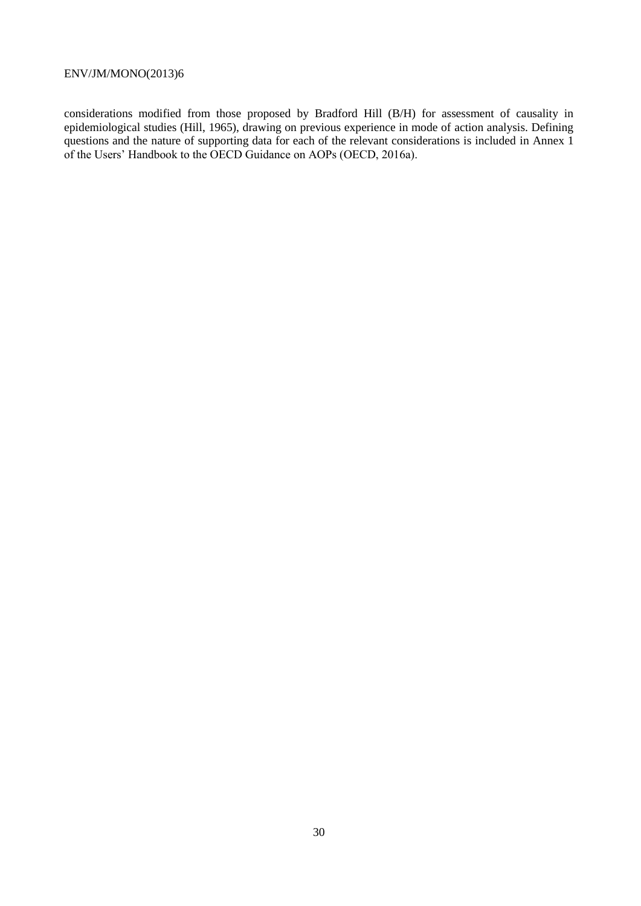considerations modified from those proposed by Bradford Hill (B/H) for assessment of causality in epidemiological studies (Hill, 1965), drawing on previous experience in mode of action analysis. Defining questions and the nature of supporting data for each of the relevant considerations is included in Annex 1 of the Users' Handbook to the OECD Guidance on AOPs (OECD, 2016a).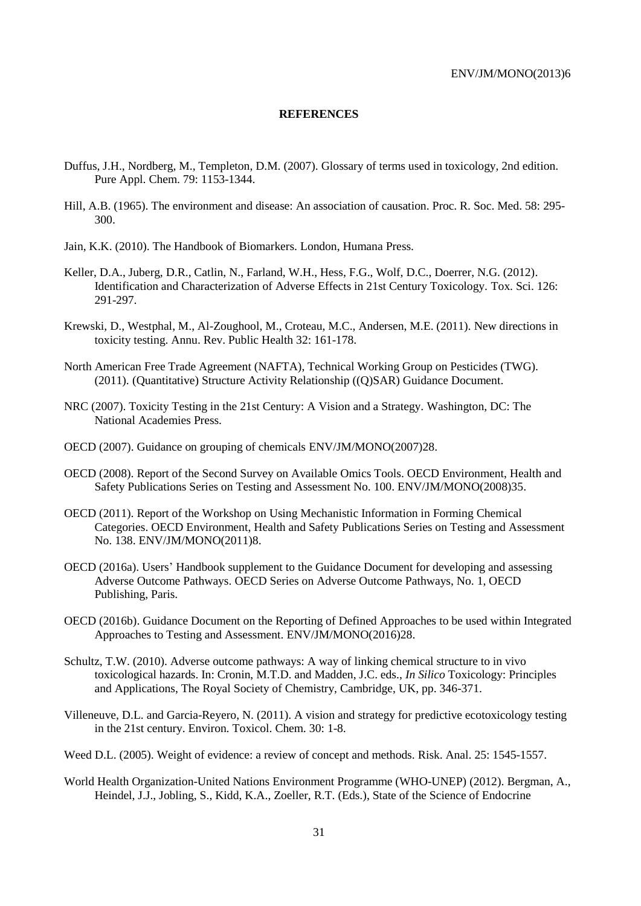#### **REFERENCES**

- <span id="page-30-0"></span>Duffus, J.H., Nordberg, M., Templeton, D.M. (2007). Glossary of terms used in toxicology, 2nd edition. Pure Appl. Chem. 79: 1153-1344.
- Hill, A.B. (1965). The environment and disease: An association of causation. Proc. R. Soc. Med. 58: 295- 300.
- Jain, K.K. (2010). The Handbook of Biomarkers. London, Humana Press.
- Keller, D.A., Juberg, D.R., Catlin, N., Farland, W.H., Hess, F.G., Wolf, D.C., Doerrer, N.G. (2012). Identification and Characterization of Adverse Effects in 21st Century Toxicology. Tox. Sci. 126: 291-297.
- Krewski, D., Westphal, M., Al-Zoughool, M., Croteau, M.C., Andersen, M.E. (2011). New directions in toxicity testing. Annu. Rev. Public Health 32: 161-178.
- North American Free Trade Agreement (NAFTA), Technical Working Group on Pesticides (TWG). (2011). (Quantitative) Structure Activity Relationship ((Q)SAR) Guidance Document.
- NRC (2007). Toxicity Testing in the 21st Century: A Vision and a Strategy. Washington, DC: The National Academies Press.
- OECD (2007). Guidance on grouping of chemicals ENV/JM/MONO(2007)28.
- OECD (2008). Report of the Second Survey on Available Omics Tools. OECD Environment, Health and Safety Publications Series on Testing and Assessment No. 100. ENV/JM/MONO(2008)35.
- OECD (2011). Report of the Workshop on Using Mechanistic Information in Forming Chemical Categories. OECD Environment, Health and Safety Publications Series on Testing and Assessment No. 138. ENV/JM/MONO(2011)8.
- OECD (2016a). Users' Handbook supplement to the Guidance Document for developing and assessing Adverse Outcome Pathways. OECD Series on Adverse Outcome Pathways, No. 1, OECD Publishing, Paris.
- OECD (2016b). Guidance Document on the Reporting of Defined Approaches to be used within Integrated Approaches to Testing and Assessment. ENV/JM/MONO(2016)28.
- Schultz, T.W. (2010). Adverse outcome pathways: A way of linking chemical structure to in vivo toxicological hazards. In: Cronin, M.T.D. and Madden, J.C. eds., *In Silico* Toxicology: Principles and Applications, The Royal Society of Chemistry, Cambridge, UK, pp. 346-371.
- Villeneuve, D.L. and Garcia-Reyero, N. (2011). A vision and strategy for predictive ecotoxicology testing in the 21st century. Environ. Toxicol. Chem. 30: 1-8.
- Weed D.L. (2005). Weight of evidence: a review of concept and methods. Risk. Anal. 25: 1545-1557.
- World Health Organization-United Nations Environment Programme (WHO-UNEP) (2012). Bergman, A., Heindel, J.J., Jobling, S., Kidd, K.A., Zoeller, R.T. (Eds.), State of the Science of Endocrine